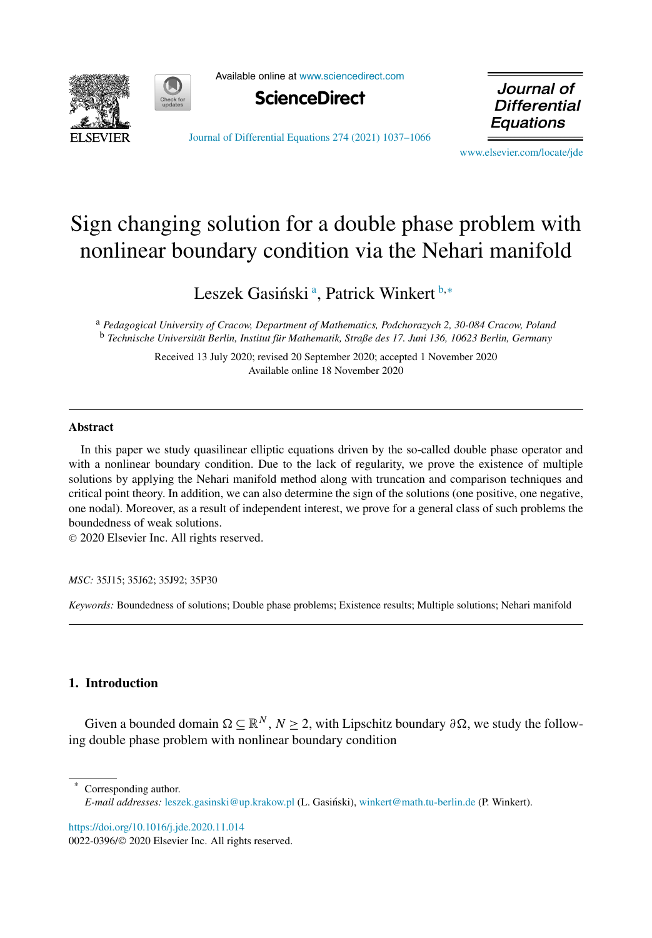



Available online at [www.sciencedirect.com](http://www.sciencedirect.com)



Journal of **Differential** Equations

[Journal of Differential Equations 274 \(2021\) 1037–1066](https://doi.org/10.1016/j.jde.2020.11.014)

[www.elsevier.com/locate/jde](http://www.elsevier.com/locate/jde)

# Sign changing solution for a double phase problem with nonlinear boundary condition via the Nehari manifold

Leszek Gasiński<sup>a</sup>, Patrick Winkert <sup>b,∗</sup>

<sup>a</sup> *Pedagogical University of Cracow, Department of Mathematics, Podchorazych 2, 30-084 Cracow, Poland* <sup>b</sup> *Technische Universität Berlin, Institut für Mathematik, Straße des 17. Juni 136, 10623 Berlin, Germany*

> Received 13 July 2020; revised 20 September 2020; accepted 1 November 2020 Available online 18 November 2020

### **Abstract**

In this paper we study quasilinear elliptic equations driven by the so-called double phase operator and with a nonlinear boundary condition. Due to the lack of regularity, we prove the existence of multiple solutions by applying the Nehari manifold method along with truncation and comparison techniques and critical point theory. In addition, we can also determine the sign of the solutions (one positive, one negative, one nodal). Moreover, as a result of independent interest, we prove for a general class of such problems the boundedness of weak solutions.

© 2020 Elsevier Inc. All rights reserved.

*MSC:* 35J15; 35J62; 35J92; 35P30

*Keywords:* Boundedness of solutions; Double phase problems; Existence results; Multiple solutions; Nehari manifold

# **1. Introduction**

Given a bounded domain  $\Omega \subseteq \mathbb{R}^N$ ,  $N \ge 2$ , with Lipschitz boundary  $\partial \Omega$ , we study the following double phase problem with nonlinear boundary condition

Corresponding author. *E-mail addresses:* [leszek.gasinski@up.krakow.pl](mailto:leszek.gasinski@up.krakow.pl) (L. Gasiński), [winkert@math.tu-berlin.de](mailto:winkert@math.tu-berlin.de) (P. Winkert).

<https://doi.org/10.1016/j.jde.2020.11.014> 0022-0396/© 2020 Elsevier Inc. All rights reserved.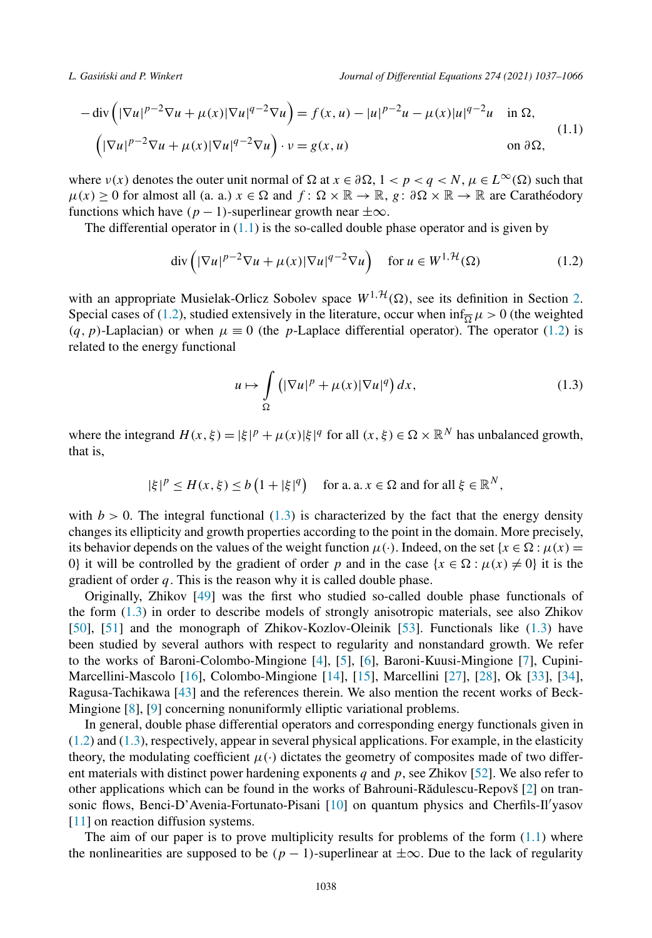<span id="page-1-0"></span>*L. Gasi´nski and P. Winkert Journal of Differential Equations 274 (2021) 1037–1066*

$$
-\operatorname{div}\left(|\nabla u|^{p-2}\nabla u + \mu(x)|\nabla u|^{q-2}\nabla u\right) = f(x, u) - |u|^{p-2}u - \mu(x)|u|^{q-2}u \quad \text{in } \Omega,
$$
  

$$
\left(|\nabla u|^{p-2}\nabla u + \mu(x)|\nabla u|^{q-2}\nabla u\right) \cdot v = g(x, u) \qquad \text{on } \partial\Omega,
$$
 (1.1)

where  $\nu(x)$  denotes the outer unit normal of  $\Omega$  at  $x \in \partial \Omega$ ,  $1 < p < q < N$ ,  $\mu \in L^{\infty}(\Omega)$  such that  $\mu(x) \ge 0$  for almost all (a. a.)  $x \in \Omega$  and  $f: \Omega \times \mathbb{R} \to \mathbb{R}$ ,  $g: \partial \Omega \times \mathbb{R} \to \mathbb{R}$  are Carathéodory functions which have  $(p - 1)$ -superlinear growth near  $\pm \infty$ .

The differential operator in  $(1.1)$  is the so-called double phase operator and is given by

$$
\operatorname{div}\left(|\nabla u|^{p-2}\nabla u + \mu(x)|\nabla u|^{q-2}\nabla u\right) \quad \text{for } u \in W^{1,\mathcal{H}}(\Omega) \tag{1.2}
$$

with an appropriate Musielak-Orlicz Sobolev space  $W^{1, \mathcal{H}}(\Omega)$ , see its definition in Section [2.](#page-3-0) Special cases of (1.2), studied extensively in the literature, occur when  $\inf_{\overline{\Omega}} \mu > 0$  (the weighted  $(q, p)$ -Laplacian) or when  $\mu \equiv 0$  (the *p*-Laplace differential operator). The operator (1.2) is related to the energy functional

$$
u \mapsto \int_{\Omega} \left( |\nabla u|^p + \mu(x) |\nabla u|^q \right) dx, \tag{1.3}
$$

where the integrand  $H(x, \xi) = |\xi|^p + \mu(x)|\xi|^q$  for all  $(x, \xi) \in \Omega \times \mathbb{R}^N$  has unbalanced growth, that is,

$$
|\xi|^p \le H(x, \xi) \le b\left(1 + |\xi|^q\right)
$$
 for a. a.  $x \in \Omega$  and for all  $\xi \in \mathbb{R}^N$ ,

with  $b > 0$ . The integral functional  $(1.3)$  is characterized by the fact that the energy density changes its ellipticity and growth properties according to the point in the domain. More precisely, its behavior depends on the values of the weight function  $\mu(\cdot)$ . Indeed, on the set  $\{x \in \Omega : \mu(x) =$ 0} it will be controlled by the gradient of order *p* and in the case  $\{x \in \Omega : \mu(x) \neq 0\}$  it is the gradient of order *q*. This is the reason why it is called double phase.

Originally, Zhikov [\[49](#page-29-0)] was the first who studied so-called double phase functionals of the form (1.3) in order to describe models of strongly anisotropic materials, see also Zhikov [[50\]](#page-29-0), [[51\]](#page-29-0) and the monograph of Zhikov-Kozlov-Oleinik [\[53\]](#page-29-0). Functionals like (1.3) have been studied by several authors with respect to regularity and nonstandard growth. We refer to the works of Baroni-Colombo-Mingione [[4\]](#page-27-0), [\[5\]](#page-27-0), [\[6](#page-27-0)], Baroni-Kuusi-Mingione [\[7](#page-28-0)], Cupini-Marcellini-Mascolo [[16\]](#page-28-0), Colombo-Mingione [\[14](#page-28-0)], [\[15](#page-28-0)], Marcellini [\[27](#page-28-0)], [[28\]](#page-28-0), Ok [[33\]](#page-28-0), [\[34](#page-28-0)], Ragusa-Tachikawa [\[43](#page-29-0)] and the references therein. We also mention the recent works of Beck-Mingione [\[8](#page-28-0)], [[9\]](#page-28-0) concerning nonuniformly elliptic variational problems.

In general, double phase differential operators and corresponding energy functionals given in (1.2) and (1.3), respectively, appear in several physical applications. For example, in the elasticity theory, the modulating coefficient  $\mu(\cdot)$  dictates the geometry of composites made of two different materials with distinct power hardening exponents *q* and *p*, see Zhikov [[52\]](#page-29-0). We also refer to other applications which can be found in the works of Bahrouni-Rădulescu-Repovš [[2\]](#page-27-0) on tran-sonic flows, Benci-D'Avenia-Fortunato-Pisani [[10\]](#page-28-0) on quantum physics and Cherfils-Il'yasov [[11\]](#page-28-0) on reaction diffusion systems.

The aim of our paper is to prove multiplicity results for problems of the form  $(1.1)$  where the nonlinearities are supposed to be  $(p - 1)$ -superlinear at  $\pm \infty$ . Due to the lack of regularity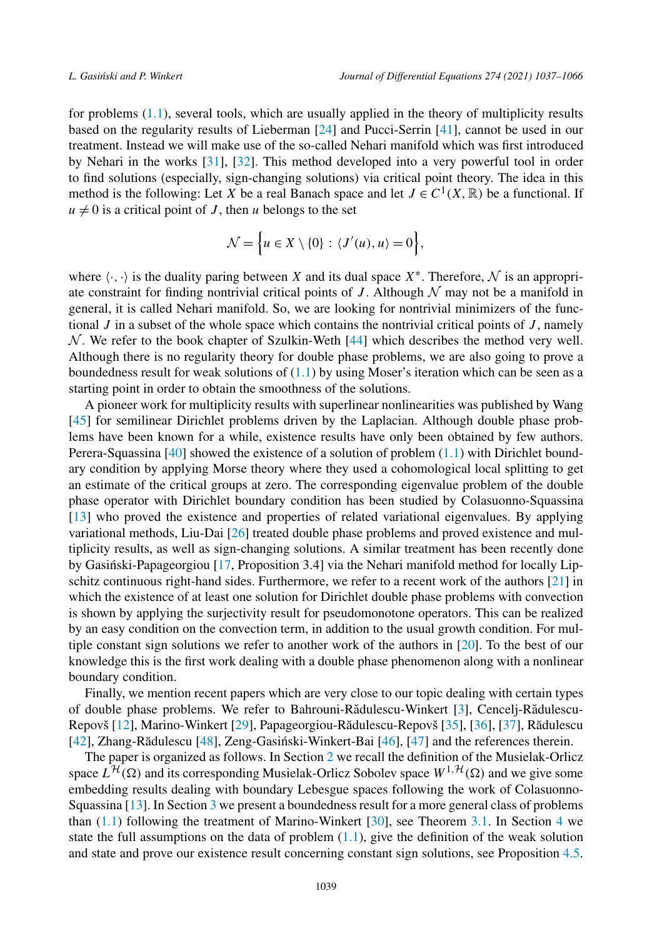for problems ([1.1](#page-1-0)), several tools, which are usually applied in the theory of multiplicity results based on the regularity results of Lieberman [[24\]](#page-28-0) and Pucci-Serrin [[41\]](#page-29-0), cannot be used in our treatment. Instead we will make use of the so-called Nehari manifold which was first introduced by Nehari in the works [\[31](#page-28-0)], [[32\]](#page-28-0). This method developed into a very powerful tool in order to find solutions (especially, sign-changing solutions) via critical point theory. The idea in this method is the following: Let *X* be a real Banach space and let  $J \in C^1(X, \mathbb{R})$  be a functional. If  $u \neq 0$  is a critical point of *J*, then *u* belongs to the set

$$
\mathcal{N} = \left\{ u \in X \setminus \{0\} : \langle J'(u), u \rangle = 0 \right\},\
$$

where  $\langle \cdot, \cdot \rangle$  is the duality paring between *X* and its dual space  $X^*$ . Therefore,  $\mathcal N$  is an appropriate constraint for finding nontrivial critical points of  $J$ . Although  $\mathcal N$  may not be a manifold in general, it is called Nehari manifold. So, we are looking for nontrivial minimizers of the functional *J* in a subset of the whole space which contains the nontrivial critical points of *J* , namely  $N$ . We refer to the book chapter of Szulkin-Weth [\[44\]](#page-29-0) which describes the method very well. Although there is no regularity theory for double phase problems, we are also going to prove a boundedness result for weak solutions of  $(1.1)$  $(1.1)$  $(1.1)$  by using Moser's iteration which can be seen as a starting point in order to obtain the smoothness of the solutions.

A pioneer work for multiplicity results with superlinear nonlinearities was published by Wang [[45\]](#page-29-0) for semilinear Dirichlet problems driven by the Laplacian. Although double phase problems have been known for a while, existence results have only been obtained by few authors. Perera-Squassina [[40\]](#page-29-0) showed the existence of a solution of problem ([1.1](#page-1-0)) with Dirichlet boundary condition by applying Morse theory where they used a cohomological local splitting to get an estimate of the critical groups at zero. The corresponding eigenvalue problem of the double phase operator with Dirichlet boundary condition has been studied by Colasuonno-Squassina [[13\]](#page-28-0) who proved the existence and properties of related variational eigenvalues. By applying variational methods, Liu-Dai [[26\]](#page-28-0) treated double phase problems and proved existence and multiplicity results, as well as sign-changing solutions. A similar treatment has been recently done by Gasiński-Papageorgiou  $[17,$  $[17,$  Proposition 3.4] via the Nehari manifold method for locally Lipschitz continuous right-hand sides. Furthermore, we refer to a recent work of the authors [[21\]](#page-28-0) in which the existence of at least one solution for Dirichlet double phase problems with convection is shown by applying the surjectivity result for pseudomonotone operators. This can be realized by an easy condition on the convection term, in addition to the usual growth condition. For multiple constant sign solutions we refer to another work of the authors in [[20\]](#page-28-0). To the best of our knowledge this is the first work dealing with a double phase phenomenon along with a nonlinear boundary condition.

Finally, we mention recent papers which are very close to our topic dealing with certain types of double phase problems. We refer to Bahrouni-Rădulescu-Winkert [\[3\]](#page-27-0), Cencelj-Rădulescu-Repovš [\[12\]](#page-28-0), Marino-Winkert [\[29\]](#page-28-0), Papageorgiou-Rădulescu-Repovš [[35\]](#page-28-0), [\[36](#page-28-0)], [\[37\]](#page-28-0), Rădulescu  $[42]$  $[42]$ , Zhang-Rădulescu  $[48]$  $[48]$ , Zeng-Gasiński-Winkert-Bai  $[46]$  $[46]$ ,  $[47]$  $[47]$  and the references therein.

The paper is organized as follows. In Section [2](#page-3-0) we recall the definition of the Musielak-Orlicz space  $L^{\mathcal{H}}(\Omega)$  and its corresponding Musielak-Orlicz Sobolev space  $W^{1,\mathcal{H}}(\Omega)$  and we give some embedding results dealing with boundary Lebesgue spaces following the work of Colasuonno-Squassina [[13\]](#page-28-0). In Section [3](#page-7-0) we present a boundedness result for a more general class of problems than [\(1.1\)](#page-1-0) following the treatment of Marino-Winkert [\[30](#page-28-0)], see Theorem [3.1](#page-8-0). In Section [4](#page-8-0) we state the full assumptions on the data of problem  $(1.1)$ , give the definition of the weak solution and state and prove our existence result concerning constant sign solutions, see Proposition [4.5.](#page-18-0)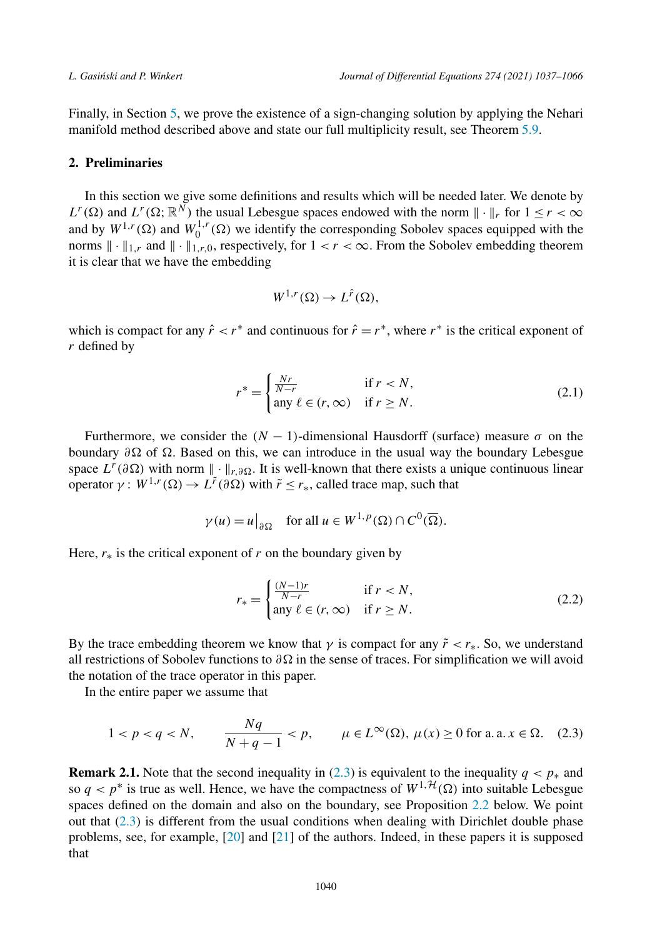<span id="page-3-0"></span>Finally, in Section [5](#page-19-0), we prove the existence of a sign-changing solution by applying the Nehari manifold method described above and state our full multiplicity result, see Theorem [5.9](#page-27-0).

### **2. Preliminaries**

In this section we give some definitions and results which will be needed later. We denote by  $L^r(\Omega)$  and  $L^r(\Omega; \mathbb{R}^N)$  the usual Lebesgue spaces endowed with the norm  $\|\cdot\|_r$  for  $1 \le r < \infty$ and by  $W^{1,r}(\Omega)$  and  $W_0^{1,r}(\Omega)$  we identify the corresponding Sobolev spaces equipped with the norms  $\|\cdot\|_{1,r}$  and  $\|\cdot\|_{1,r,0}$ , respectively, for  $1 < r < \infty$ . From the Sobolev embedding theorem it is clear that we have the embedding

$$
W^{1,r}(\Omega) \to L^{\hat{r}}(\Omega),
$$

which is compact for any  $\hat{r} < r^*$  and continuous for  $\hat{r} = r^*$ , where  $r^*$  is the critical exponent of *r* defined by

$$
r^* = \begin{cases} \frac{Nr}{N-r} & \text{if } r < N, \\ \text{any } \ell \in (r, \infty) & \text{if } r \ge N. \end{cases} \tag{2.1}
$$

Furthermore, we consider the  $(N - 1)$ -dimensional Hausdorff (surface) measure  $\sigma$  on the boundary *∂-* of *-*. Based on this, we can introduce in the usual way the boundary Lebesgue space  $L^r(\partial\Omega)$  with norm  $\|\cdot\|_{r,\partial\Omega}$ . It is well-known that there exists a unique continuous linear  $\text{operator }$  *γ* :  $W^{1,r}(\Omega) \to L^{\tilde{r}}(\partial \Omega)$  with  $\tilde{r} \leq r_*$ , called trace map, such that

$$
\gamma(u) = u\big|_{\partial\Omega}
$$
 for all  $u \in W^{1,p}(\Omega) \cap C^0(\overline{\Omega})$ .

Here,  $r_*$  is the critical exponent of  $r$  on the boundary given by

$$
r_* = \begin{cases} \frac{(N-1)r}{N-r} & \text{if } r < N, \\ \text{any } \ell \in (r, \infty) & \text{if } r \ge N. \end{cases} \tag{2.2}
$$

By the trace embedding theorem we know that  $\gamma$  is compact for any  $\tilde{r} < r_*$ . So, we understand all restrictions of Sobolev functions to *∂-* in the sense of traces. For simplification we will avoid the notation of the trace operator in this paper.

In the entire paper we assume that

$$
1 < p < q < N, \qquad \frac{Nq}{N+q-1} < p, \qquad \mu \in L^{\infty}(\Omega), \ \mu(x) \ge 0 \text{ for a. a. } x \in \Omega. \tag{2.3}
$$

**Remark 2.1.** Note that the second inequality in (2.3) is equivalent to the inequality  $q < p^*$  and so  $q < p^*$  is true as well. Hence, we have the compactness of  $W^{1, \mathcal{H}}(\Omega)$  into suitable Lebesgue spaces defined on the domain and also on the boundary, see Proposition [2.2](#page-5-0) below. We point out that  $(2.3)$  is different from the usual conditions when dealing with Dirichlet double phase problems, see, for example, [\[20](#page-28-0)] and [\[21](#page-28-0)] of the authors. Indeed, in these papers it is supposed that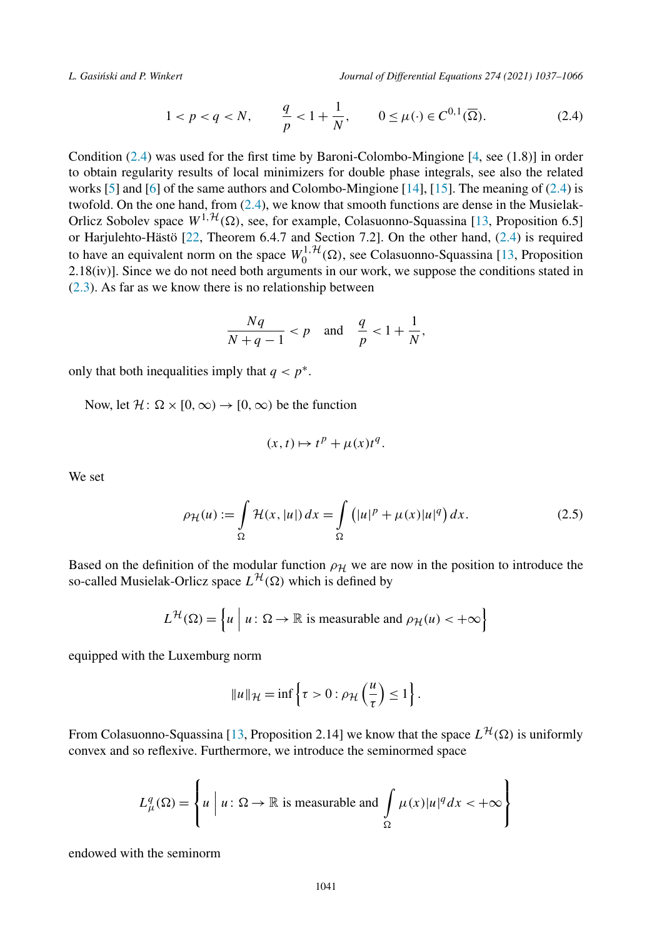<span id="page-4-0"></span>

$$
1 < p < q < N, \qquad \frac{q}{p} < 1 + \frac{1}{N}, \qquad 0 \le \mu(\cdot) \in C^{0,1}(\overline{\Omega}). \tag{2.4}
$$

Condition (2.4) was used for the first time by Baroni-Colombo-Mingione [[4,](#page-27-0) see (1.8)] in order to obtain regularity results of local minimizers for double phase integrals, see also the related works [\[5](#page-27-0)] and [[6\]](#page-27-0) of the same authors and Colombo-Mingione [\[14](#page-28-0)], [[15\]](#page-28-0). The meaning of (2.4) is twofold. On the one hand, from (2.4), we know that smooth functions are dense in the Musielak-Orlicz Sobolev space  $W^{1, H}(\Omega)$ , see, for example, Colasuonno-Squassina [[13,](#page-28-0) Proposition 6.5] or Harjulehto-Hästö [[22,](#page-28-0) Theorem 6.4.7 and Section 7.2]. On the other hand, (2.4) is required to have an equivalent norm on the space  $W_0^{1, H}(\Omega)$ , see Colasuonno-Squassina [[13,](#page-28-0) Proposition  $2.18(iv)$ ]. Since we do not need both arguments in our work, we suppose the conditions stated in ([2.3](#page-3-0)). As far as we know there is no relationship between

$$
\frac{Nq}{N+q-1} < p \quad \text{and} \quad \frac{q}{p} < 1 + \frac{1}{N},
$$

only that both inequalities imply that  $q < p^*$ .

Now, let  $\mathcal{H} \colon \Omega \times [0, \infty) \to [0, \infty)$  be the function

$$
(x,t)\mapsto t^p+\mu(x)t^q.
$$

We set

$$
\rho_{\mathcal{H}}(u) := \int_{\Omega} \mathcal{H}(x, |u|) dx = \int_{\Omega} \left( |u|^p + \mu(x)|u|^q \right) dx.
$$
 (2.5)

Based on the definition of the modular function  $\rho$ <sub>H</sub> we are now in the position to introduce the so-called Musielak-Orlicz space  $L^{H}(\Omega)$  which is defined by

$$
L^{\mathcal{H}}(\Omega) = \left\{ u \mid u \colon \Omega \to \mathbb{R} \text{ is measurable and } \rho_{\mathcal{H}}(u) < +\infty \right\}
$$

equipped with the Luxemburg norm

$$
||u||_{\mathcal{H}} = \inf \left\{ \tau > 0 : \rho_{\mathcal{H}} \left( \frac{u}{\tau} \right) \le 1 \right\}.
$$

From Colasuonno-Squassina [\[13](#page-28-0), Proposition 2.14] we know that the space  $L^{H}(\Omega)$  is uniformly convex and so reflexive. Furthermore, we introduce the seminormed space

$$
L_{\mu}^{q}(\Omega) = \left\{ u \mid u \colon \Omega \to \mathbb{R} \text{ is measurable and } \int_{\Omega} \mu(x) |u|^{q} dx < +\infty \right\}
$$

endowed with the seminorm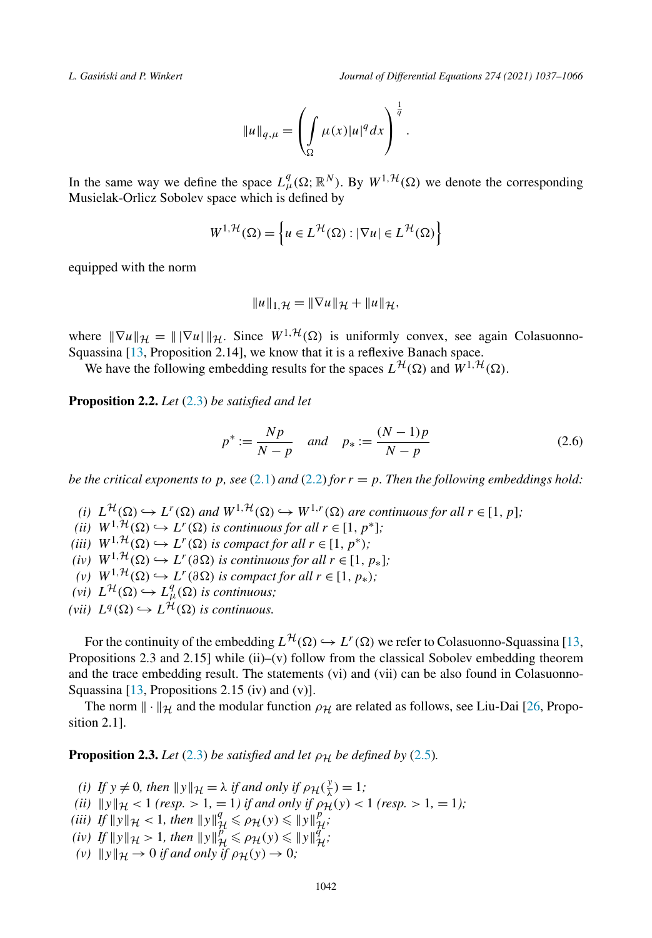<span id="page-5-0"></span>

$$
||u||_{q,\mu} = \left(\int_{\Omega} \mu(x)|u|^q dx\right)^{\frac{1}{q}}.
$$

In the same way we define the space  $L^q_\mu(\Omega;\mathbb{R}^N)$ . By  $W^{1,\mathcal{H}}(\Omega)$  we denote the corresponding Musielak-Orlicz Sobolev space which is defined by

$$
W^{1,\mathcal{H}}(\Omega) = \left\{ u \in L^{\mathcal{H}}(\Omega) : |\nabla u| \in L^{\mathcal{H}}(\Omega) \right\}
$$

equipped with the norm

$$
||u||_{1,\mathcal{H}} = ||\nabla u||_{\mathcal{H}} + ||u||_{\mathcal{H}},
$$

where  $\|\nabla u\|_{\mathcal{H}} = \|\nabla u\|_{\mathcal{H}}$ . Since  $W^{1,\mathcal{H}}(\Omega)$  is uniformly convex, see again Colasuonno-Squassina [\[13](#page-28-0), Proposition 2.14], we know that it is a reflexive Banach space.

We have the following embedding results for the spaces  $L^{\mathcal{H}}(\Omega)$  and  $W^{1,\mathcal{H}}(\Omega)$ .

**Proposition 2.2.** *Let* [\(2.3\)](#page-3-0) *be satisfied and let*

$$
p^* := \frac{Np}{N - p} \quad and \quad p_* := \frac{(N - 1)p}{N - p} \tag{2.6}
$$

*be the critical exponents to p*, *see* [\(2.1](#page-3-0)) *and* ([2.2](#page-3-0)) *for*  $r = p$ *. Then the following embeddings hold*:

- (i)  $L^{\mathcal{H}}(\Omega) \hookrightarrow L^{r}(\Omega)$  and  $W^{1,\mathcal{H}}(\Omega) \hookrightarrow W^{1,r}(\Omega)$  are continuous for all  $r \in [1, p]$ ;
- *(ii)*  $W^{1, \mathcal{H}}(\Omega) \hookrightarrow L^{r}(\Omega)$  *is continuous for all*  $r \in [1, p^*];$
- *(iii)*  $W^{1,\mathcal{H}}(\Omega) \hookrightarrow L^r(\Omega)$  *is compact for all*  $r \in [1, p^*);$
- $(iv)$  *W*<sup>1,*H*</sup>( $\Omega$ )  $\hookrightarrow$  *L<sup>r</sup>*(∂ $\Omega$ ) *is continuous for all r* ∈ [1,  $p_*$ ];
- $(V)$  *W*<sup>1,*H*</sup>( $\Omega$ )  $\hookrightarrow$  *L<sup>r</sup>*( $\partial \Omega$ ) *is compact for all r* ∈ [1,  $p_*$ )*;*
- $(\nu i)$   $L^{\mathcal{H}}(\Omega) \hookrightarrow L_{\mu}^{q}(\Omega)$  *is continuous;*
- *(vii)*  $L^q(\Omega) \hookrightarrow L^{\mathcal{H}}(\Omega)$  *is continuous.*

For the continuity of the embedding  $L^{\mathcal{H}}(\Omega) \hookrightarrow L^{r}(\Omega)$  we refer to Colasuonno-Squassina [[13,](#page-28-0) Propositions 2.3 and 2.15] while (ii)–(v) follow from the classical Sobolev embedding theorem and the trace embedding result. The statements (vi) and (vii) can be also found in Colasuonno-Squassina  $[13,$  $[13,$  Propositions 2.15 (iv) and (v)].

The norm  $\|\cdot\|_{\mathcal{H}}$  and the modular function  $\rho_{\mathcal{H}}$  are related as follows, see Liu-Dai [\[26](#page-28-0), Proposition 2.1].

**Proposition 2.3.** *Let* [\(2.3\)](#page-3-0) *be satisfied and let*  $\rho_H$  *be defined by* ([2.5](#page-4-0))*.* 

- *(i) If*  $y \neq 0$ *, then*  $||y||_{\mathcal{H}} = \lambda$  *if and only if*  $\rho_{\mathcal{H}}(\frac{y}{\lambda}) = 1$ *;*
- $(iii)$   $||y||_{\mathcal{H}} < 1$  (resp.  $> 1, = 1$ ) *if and only if*  $\rho_{\mathcal{H}}(y) < 1$  (resp.  $> 1, = 1$ );
- *(iii) If*  $||y||_{\mathcal{H}} < 1$ *, then*  $||y||_{\mathcal{H}}^q \le \rho_{\mathcal{H}}(y) \le ||y||_{\mathcal{H}}^p$
- $f(x) = \frac{1}{2} \int_{0}^{x} |f(y)|^{2} dy \leq 2 \int_{0}^{x} \int_{0}^{x} \int_{0}^{y} f(y) dy = \frac{1}{2} \int_{0}^{x} \int_{0}^{y} f(y) dy$
- $(\nu)$   $\|y\|_{\mathcal{H}} \to 0$  *if and only if*  $\rho_{\mathcal{H}}(y) \to 0$ *;*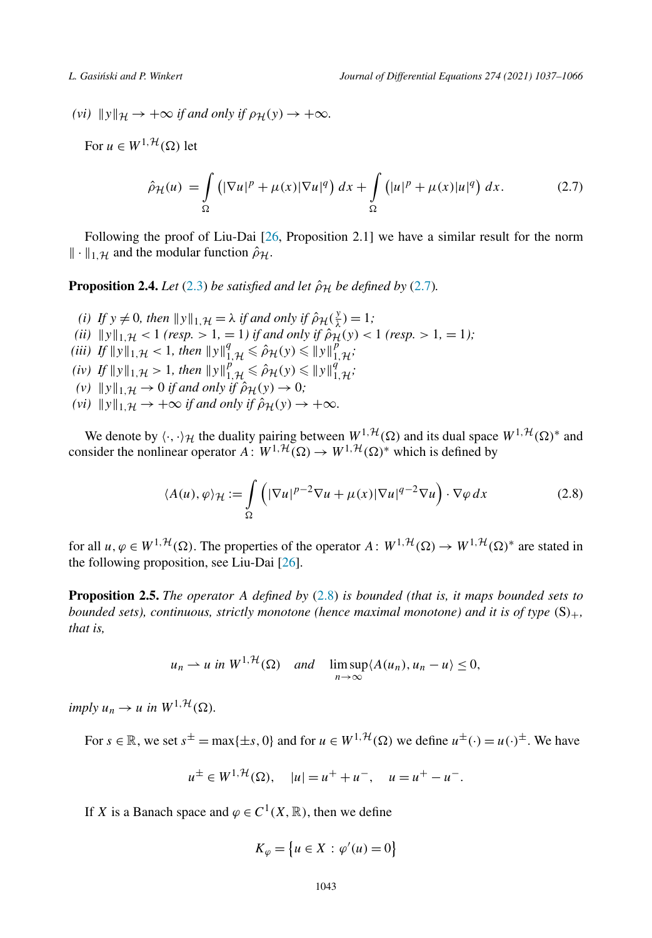<span id="page-6-0"></span> $(vi)$   $\|y\|_{\mathcal{H}} \to +\infty$  *if and only if*  $\rho_{\mathcal{H}}(y) \to +\infty$ *.* 

For  $u \in W^{1, \mathcal{H}}(\Omega)$  let

$$
\hat{\rho}_{\mathcal{H}}(u) = \int_{\Omega} \left( |\nabla u|^p + \mu(x) |\nabla u|^q \right) dx + \int_{\Omega} \left( |u|^p + \mu(x) |u|^q \right) dx. \tag{2.7}
$$

Following the proof of Liu-Dai [[26,](#page-28-0) Proposition 2.1] we have a similar result for the norm  $\|\cdot\|_{1,\mathcal{H}}$  and the modular function  $\hat{\rho}_{\mathcal{H}}$ .

**Proposition 2.4.** *Let* [\(2.3\)](#page-3-0) *be satisfied and let*  $\hat{\rho}_H$  *be defined by* (2.7)*.* 

*(i) If*  $y \neq 0$ *, then*  $||y||_{1,\mathcal{H}} = \lambda$  *if and only if*  $\hat{\rho}_{\mathcal{H}}(\frac{y}{\lambda}) = 1$ *; (ii)*  $||y||_1$ <sub>*H*</sub>  $\lt$  1 *(resp.* > 1*,* = 1*) if and only if*  $\hat{\rho}_H(y) \lt 1$  *(resp.* > 1*,* = 1*)*; *(iii) If*  $||y||_{1,\mathcal{H}} < 1$ *, then*  $||y||_{1,\mathcal{H}}^q \leq \hat{\rho}_{\mathcal{H}}(y) \leq ||y||_{1,\mathcal{H}}^p$ ;  $f(x) = \int_{0}^{x} \|y\|_{1,\mathcal{H}} \leq 1, \text{ then } \|y\|_{1,\mathcal{H}}^{\rho} \leq \hat{\rho}_{\mathcal{H}}(y) \leq \|y\|_{1,\mathcal{H}}^{\rho}$ *(v)*  $||y||_1$ <sup>*,*H</sup>  $\rightarrow$  0 *if and only if*  $\hat{\rho}_H(y) \rightarrow 0$ *;*  $(vi)$   $||y||_{1,\mathcal{H}} \rightarrow +\infty$  *if and only if*  $\hat{\rho}_{\mathcal{H}}(y) \rightarrow +\infty$ *.* 

We denote by  $\langle \cdot, \cdot \rangle_{\mathcal{H}}$  the duality pairing between  $W^{1, \mathcal{H}}(\Omega)$  and its dual space  $W^{1, \mathcal{H}}(\Omega)^*$  and consider the nonlinear operator  $A: W^{1, H}(\Omega) \to W^{1, H}(\Omega)^*$  which is defined by

$$
\langle A(u), \varphi \rangle_{\mathcal{H}} := \int\limits_{\Omega} \left( |\nabla u|^{p-2} \nabla u + \mu(x) |\nabla u|^{q-2} \nabla u \right) \cdot \nabla \varphi \, dx \tag{2.8}
$$

for all  $u, \varphi \in W^{1, H}(\Omega)$ . The properties of the operator  $A: W^{1, H}(\Omega) \to W^{1, H}(\Omega)^*$  are stated in the following proposition, see Liu-Dai [\[26](#page-28-0)].

**Proposition 2.5.** *The operator A defined by* (2.8) *is bounded (that is, it maps bounded sets to bounded sets), continuous, strictly monotone (hence maximal monotone) and it is of type (*S*)*+*, that is,*

$$
u_n \rightharpoonup u
$$
 in  $W^{1, \mathcal{H}}(\Omega)$  and  $\limsup_{n \to \infty} \langle A(u_n), u_n - u \rangle \leq 0$ ,

 $imply u_n \to u \text{ in } W^{1, \mathcal{H}}(\Omega).$ 

For  $s \in \mathbb{R}$ , we set  $s^{\pm} = \max\{\pm s, 0\}$  and for  $u \in W^{1, \mathcal{H}}(\Omega)$  we define  $u^{\pm}(\cdot) = u(\cdot)^{\pm}$ . We have

$$
u^{\pm} \in W^{1, H}(\Omega), \quad |u| = u^{+} + u^{-}, \quad u = u^{+} - u^{-}.
$$

If *X* is a Banach space and  $\varphi \in C^1(X, \mathbb{R})$ , then we define

$$
K_{\varphi} = \{ u \in X : \varphi'(u) = 0 \}
$$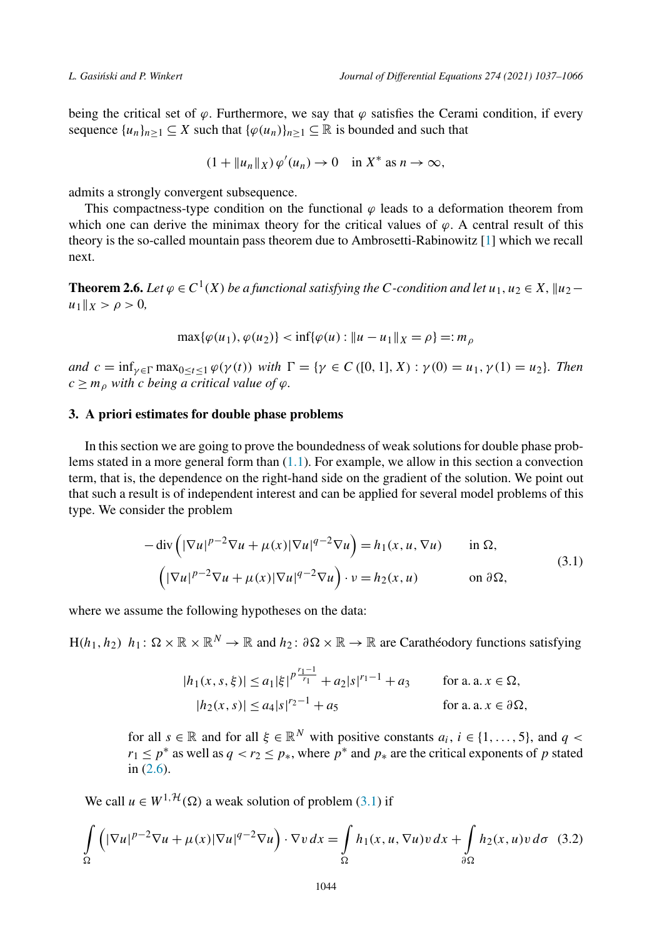<span id="page-7-0"></span>being the critical set of  $\varphi$ . Furthermore, we say that  $\varphi$  satisfies the Cerami condition, if every sequence  $\{u_n\}_{n>1} \subseteq X$  such that  $\{\varphi(u_n)\}_{n>1} \subseteq \mathbb{R}$  is bounded and such that

$$
(1 + \|u_n\|_X)\,\varphi'(u_n) \to 0 \quad \text{in } X^* \text{ as } n \to \infty,
$$

admits a strongly convergent subsequence.

This compactness-type condition on the functional  $\varphi$  leads to a deformation theorem from which one can derive the minimax theory for the critical values of  $\varphi$ . A central result of this theory is the so-called mountain pass theorem due to Ambrosetti-Rabinowitz [\[1](#page-27-0)] which we recall next.

**Theorem 2.6.** Let  $\varphi \in C^1(X)$  be a functional satisfying the C-condition and let  $u_1, u_2 \in X$ ,  $||u_2$  $u_1 \|_X > \rho > 0$ ,

$$
\max{\{\varphi(u_1), \varphi(u_2)\}} < \inf{\{\varphi(u) : \|u - u_1\|_X = \rho\}} =: m_\rho
$$

and  $c = \inf_{\gamma \in \Gamma} \max_{0 \le t \le 1} \varphi(\gamma(t))$  with  $\Gamma = \{ \gamma \in C([0, 1], X) : \gamma(0) = u_1, \gamma(1) = u_2 \}.$  Then  $c \geq m_{\rho}$  *with c being a critical value of*  $\varphi$ *.* 

# **3. A priori estimates for double phase problems**

In this section we are going to prove the boundedness of weak solutions for double phase problems stated in a more general form than  $(1.1)$  $(1.1)$  $(1.1)$ . For example, we allow in this section a convection term, that is, the dependence on the right-hand side on the gradient of the solution. We point out that such a result is of independent interest and can be applied for several model problems of this type. We consider the problem

$$
-\operatorname{div}\left(|\nabla u|^{p-2}\nabla u + \mu(x)|\nabla u|^{q-2}\nabla u\right) = h_1(x, u, \nabla u) \quad \text{in } \Omega,
$$
  

$$
\left(|\nabla u|^{p-2}\nabla u + \mu(x)|\nabla u|^{q-2}\nabla u\right) \cdot v = h_2(x, u) \quad \text{on } \partial\Omega,
$$
 (3.1)

where we assume the following hypotheses on the data:

 $H(h_1, h_2)$   $h_1: \Omega \times \mathbb{R} \times \mathbb{R}^N \to \mathbb{R}$  and  $h_2: \partial \Omega \times \mathbb{R} \to \mathbb{R}$  are Carathéodory functions satisfying

$$
|h_1(x, s, \xi)| \le a_1 |\xi|^{p \frac{r_1 - 1}{r_1}} + a_2 |s|^{r_1 - 1} + a_3 \quad \text{for a. a. } x \in \Omega,
$$
  

$$
|h_2(x, s)| \le a_4 |s|^{r_2 - 1} + a_5 \quad \text{for a. a. } x \in \partial \Omega,
$$

for all  $s \in \mathbb{R}$  and for all  $\xi \in \mathbb{R}^N$  with positive constants  $a_i, i \in \{1, ..., 5\}$ , and  $q <$  $r_1 \leq p^*$  as well as  $q < r_2 \leq p_*$ , where  $p^*$  and  $p_*$  are the critical exponents of *p* stated in [\(2.6\)](#page-5-0).

We call  $u \in W^{1, H}(\Omega)$  a weak solution of problem (3.1) if

$$
\int_{\Omega} \left( |\nabla u|^{p-2} \nabla u + \mu(x) |\nabla u|^{q-2} \nabla u \right) \cdot \nabla v \, dx = \int_{\Omega} h_1(x, u, \nabla u) v \, dx + \int_{\partial \Omega} h_2(x, u) v \, d\sigma \tag{3.2}
$$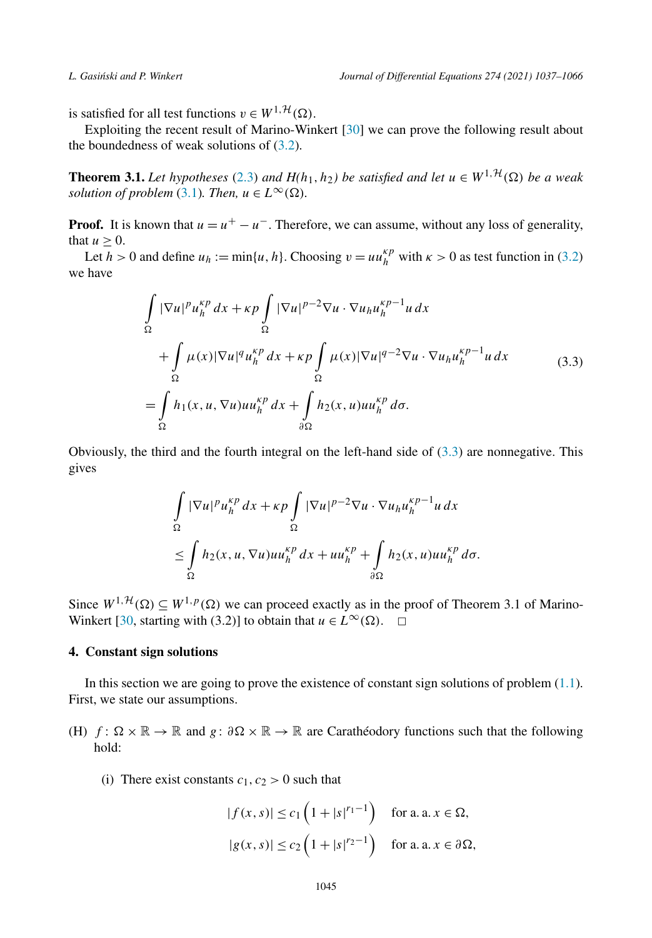<span id="page-8-0"></span>is satisfied for all test functions  $v \in W^{1, \mathcal{H}}(\Omega)$ .

Exploiting the recent result of Marino-Winkert [\[30\]](#page-28-0) we can prove the following result about the boundedness of weak solutions of [\(3.2\)](#page-7-0).

**Theorem 3.1.** Let hypotheses ([2.3](#page-3-0)) and  $H(h_1, h_2)$  be satisfied and let  $u \in W^{1, H}(\Omega)$  be a weak *solution of problem* [\(3.1\)](#page-7-0)*. Then,*  $u \in L^{\infty}(\Omega)$ *.* 

**Proof.** It is known that  $u = u^+ - u^-$ . Therefore, we can assume, without any loss of generality, that  $u > 0$ .

Let *h* > 0 and define  $u_h := \min\{u, h\}$ . Choosing  $v = uu_h^{\kappa p}$  with  $\kappa > 0$  as test function in [\(3.2\)](#page-7-0) we have

$$
\int_{\Omega} |\nabla u|^p u_h^{kp} dx + \kappa p \int_{\Omega} |\nabla u|^{p-2} \nabla u \cdot \nabla u_h u_h^{kp-1} u dx \n+ \int_{\Omega} \mu(x) |\nabla u|^q u_h^{kp} dx + \kappa p \int_{\Omega} \mu(x) |\nabla u|^{q-2} \nabla u \cdot \nabla u_h u_h^{kp-1} u dx \n= \int_{\Omega} h_1(x, u, \nabla u) u u_h^{kp} dx + \int_{\partial \Omega} h_2(x, u) u u_h^{kp} d\sigma.
$$
\n(3.3)

Obviously, the third and the fourth integral on the left-hand side of  $(3.3)$  are nonnegative. This gives

$$
\int_{\Omega} |\nabla u|^p u_h^{\kappa p} dx + \kappa p \int_{\Omega} |\nabla u|^{p-2} \nabla u \cdot \nabla u_h u_h^{\kappa p-1} u dx
$$
  
\n
$$
\leq \int_{\Omega} h_2(x, u, \nabla u) u u_h^{\kappa p} dx + u u_h^{\kappa p} + \int_{\partial \Omega} h_2(x, u) u u_h^{\kappa p} d\sigma.
$$

Since  $W^{1, \mathcal{H}}(\Omega) \subseteq W^{1, p}(\Omega)$  we can proceed exactly as in the proof of Theorem 3.1 of Marino-Winkert [\[30,](#page-28-0) starting with (3.2)] to obtain that *u* ∈  $L^{\infty}(\Omega)$ .  $\Box$ 

### **4. Constant sign solutions**

In this section we are going to prove the existence of constant sign solutions of problem [\(1.1\)](#page-1-0). First, we state our assumptions.

- (H) *f* :  $\Omega \times \mathbb{R} \to \mathbb{R}$  and *g* :  $\partial \Omega \times \mathbb{R} \to \mathbb{R}$  are Carathéodory functions such that the following hold:
	- (i) There exist constants  $c_1$ ,  $c_2 > 0$  such that

$$
|f(x, s)| \le c_1 \left(1 + |s|^{r_1 - 1}\right) \quad \text{for a. a. } x \in \Omega,
$$
  

$$
|g(x, s)| \le c_2 \left(1 + |s|^{r_2 - 1}\right) \quad \text{for a. a. } x \in \partial\Omega,
$$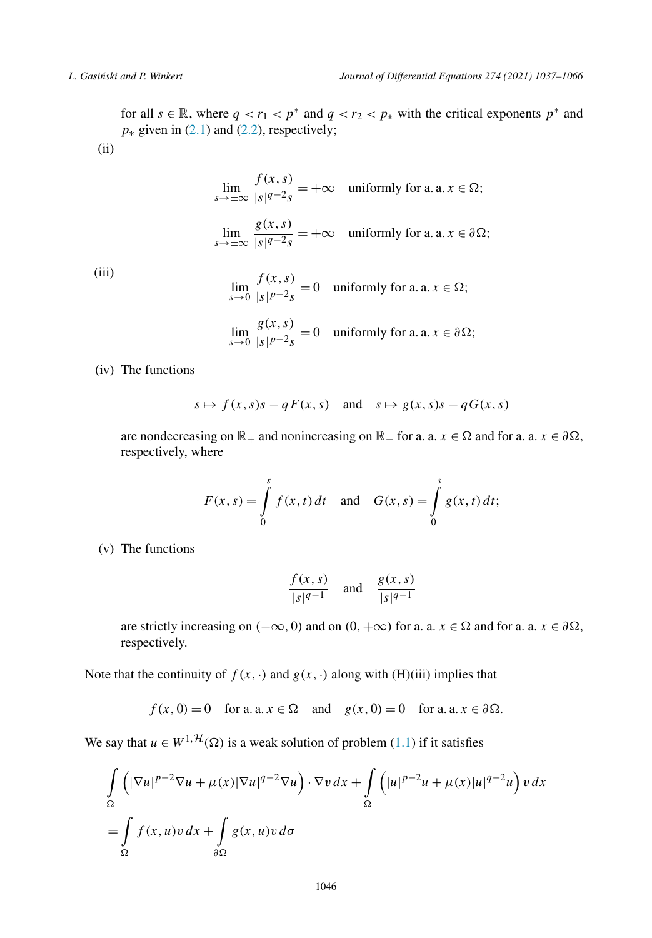for all  $s \in \mathbb{R}$ , where  $q < r_1 < p^*$  and  $q < r_2 < p_*$  with the critical exponents  $p^*$  and  $p$ <sup>∗</sup> given in [\(2.1\)](#page-3-0) and ([2.2](#page-3-0)), respectively; (ii)

$$
\lim_{s \to \pm \infty} \frac{f(x, s)}{|s|^{q-2} s} = +\infty \quad \text{uniformly for a. a. } x \in \Omega;
$$
\n
$$
\lim_{s \to \pm \infty} \frac{g(x, s)}{|s|^{q-2} s} = +\infty \quad \text{uniformly for a. a. } x \in \partial \Omega;
$$

(iii)

$$
\lim_{s \to 0} \frac{f(x, s)}{|s|^{p-2}s} = 0 \quad \text{uniformly for a. a. } x \in \Omega;
$$
\n
$$
\lim_{s \to 0} \frac{g(x, s)}{|s|^{p-2}s} = 0 \quad \text{uniformly for a. a. } x \in \partial\Omega;
$$

(iv) The functions

$$
s \mapsto f(x, s)s - qF(x, s)
$$
 and  $s \mapsto g(x, s)s - qG(x, s)$ 

are nondecreasing on  $\mathbb{R}_+$  and nonincreasing on  $\mathbb{R}_-$  for a. a.  $x \in \Omega$  and for a. a.  $x \in \partial \Omega$ , respectively, where

$$
F(x, s) = \int_{0}^{s} f(x, t) dt \text{ and } G(x, s) = \int_{0}^{s} g(x, t) dt;
$$

(v) The functions

$$
\frac{f(x,s)}{|s|^{q-1}} \quad \text{and} \quad \frac{g(x,s)}{|s|^{q-1}}
$$

are strictly increasing on  $(-\infty, 0)$  and on  $(0, +\infty)$  for a. a.  $x \in \Omega$  and for a. a.  $x \in \partial \Omega$ , respectively.

Note that the continuity of  $f(x, \cdot)$  and  $g(x, \cdot)$  along with (H)(iii) implies that

 $f(x, 0) = 0$  for a. a.  $x \in \Omega$  and  $g(x, 0) = 0$  for a. a.  $x \in \partial \Omega$ .

We say that  $u \in W^{1, H}(\Omega)$  is a weak solution of problem [\(1.1](#page-1-0)) if it satisfies

$$
\int_{\Omega} \left( |\nabla u|^{p-2} \nabla u + \mu(x) |\nabla u|^{q-2} \nabla u \right) \cdot \nabla v \, dx + \int_{\Omega} \left( |u|^{p-2} u + \mu(x) |u|^{q-2} u \right) v \, dx
$$
  
= 
$$
\int_{\Omega} f(x, u) v \, dx + \int_{\partial \Omega} g(x, u) v \, d\sigma
$$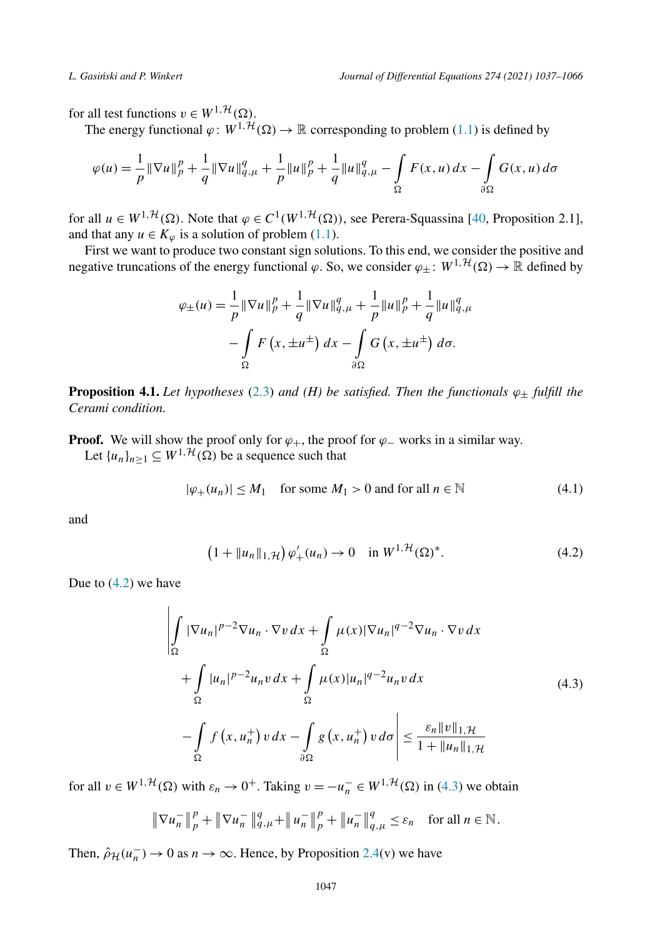<span id="page-10-0"></span>for all test functions  $v \in W^{1, \mathcal{H}}(\Omega)$ .

The energy functional  $\varphi: W^{1, H}(\Omega) \to \mathbb{R}$  corresponding to problem [\(1.1\)](#page-1-0) is defined by

$$
\varphi(u) = \frac{1}{p} \|\nabla u\|_p^p + \frac{1}{q} \|\nabla u\|_{q,\mu}^q + \frac{1}{p} \|u\|_p^p + \frac{1}{q} \|u\|_{q,\mu}^q - \int_{\Omega} F(x, u) \, dx - \int_{\partial \Omega} G(x, u) \, d\sigma
$$

for all  $u \in W^{1, H}(\Omega)$ . Note that  $\varphi \in C^1(W^{1, H}(\Omega))$ , see Perera-Squassina [[40,](#page-29-0) Proposition 2.1], and that any  $u \in K_\omega$  is a solution of problem ([1.1](#page-1-0)).

First we want to produce two constant sign solutions. To this end, we consider the positive and negative truncations of the energy functional  $\varphi$ . So, we consider  $\varphi_{\pm}$ :  $W^{1,\mathcal{H}}(\Omega) \to \mathbb{R}$  defined by

$$
\varphi_{\pm}(u) = \frac{1}{p} \|\nabla u\|_{p}^{p} + \frac{1}{q} \|\nabla u\|_{q,\mu}^{q} + \frac{1}{p} \|u\|_{p}^{p} + \frac{1}{q} \|u\|_{q,\mu}^{q} - \int_{\Omega} F(x, \pm u^{\pm}) dx - \int_{\partial\Omega} G(x, \pm u^{\pm}) d\sigma.
$$

**Proposition 4.1.** *Let hypotheses* [\(2.3\)](#page-3-0) *and (H) be satisfied. Then the functionals*  $\varphi_{\pm}$  *fulfill the Cerami condition.*

**Proof.** We will show the proof only for  $\varphi_+$ , the proof for  $\varphi_-$  works in a similar way. Let  $\{u_n\}_{n\geq 1} \subseteq W^{1,\mathcal{H}}(\Omega)$  be a sequence such that

$$
|\varphi_+(u_n)| \le M_1 \quad \text{for some } M_1 > 0 \text{ and for all } n \in \mathbb{N} \tag{4.1}
$$

and

$$
(1 + \|u_n\|_{1,\mathcal{H}})\,\varphi'_+(u_n) \to 0 \quad \text{in } W^{1,\mathcal{H}}(\Omega)^*.\tag{4.2}
$$

Due to  $(4.2)$  we have

$$
\left| \int_{\Omega} |\nabla u_n|^{p-2} \nabla u_n \cdot \nabla v \, dx + \int_{\Omega} \mu(x) |\nabla u_n|^{q-2} \nabla u_n \cdot \nabla v \, dx \right|
$$
  
+ 
$$
\int_{\Omega} |u_n|^{p-2} u_n v \, dx + \int_{\Omega} \mu(x) |u_n|^{q-2} u_n v \, dx
$$
  
- 
$$
\int_{\Omega} f(x, u_n^+) v \, dx - \int_{\partial \Omega} g(x, u_n^+) v \, d\sigma \right| \le \frac{\varepsilon_n \|v\|_{1, \mathcal{H}}}{1 + \|u_n\|_{1, \mathcal{H}}}
$$
(4.3)

for all  $v \in W^{1, H}(\Omega)$  with  $\varepsilon_n \to 0^+$ . Taking  $v = -u_n^- \in W^{1, H}(\Omega)$  in (4.3) we obtain

$$
\|\nabla u_n^-\|_p^p + \|\nabla u_n^-\|_{q,\mu}^q + \|u_n^-\|_p^p + \|u_n^-\|_{q,\mu}^q \leq \varepsilon_n \quad \text{for all } n \in \mathbb{N}.
$$

Then,  $\hat{\rho}_{\mathcal{H}}(u_n^-) \to 0$  as  $n \to \infty$ . Hence, by Proposition [2.4\(](#page-6-0)v) we have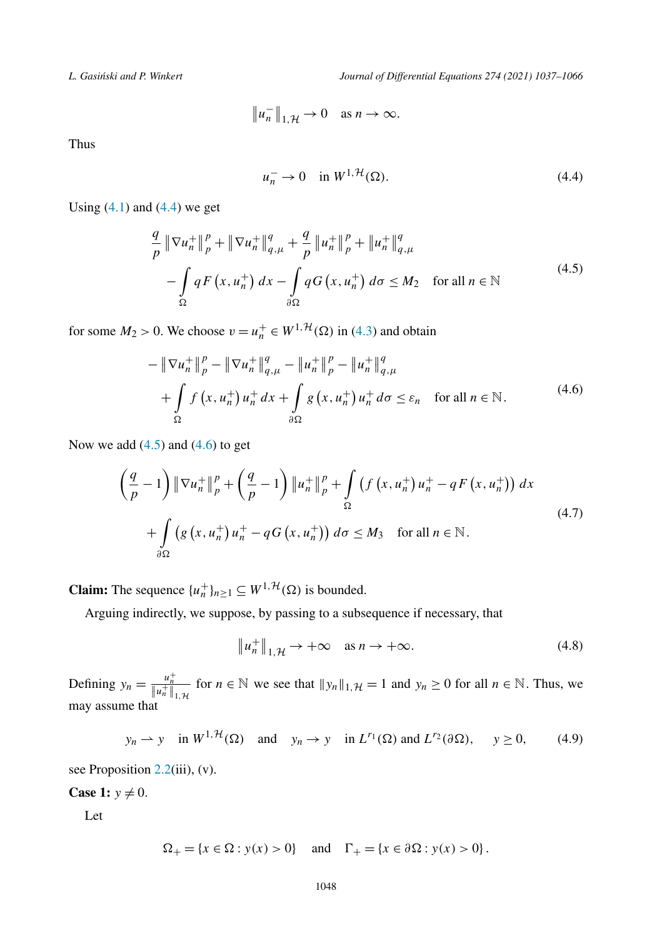<span id="page-11-0"></span>*L. Gasi´nski and P. Winkert Journal of Differential Equations 274 (2021) 1037–1066*

$$
\|u_n^-\|_{1,\mathcal{H}} \to 0 \quad \text{as } n \to \infty.
$$

Thus

$$
u_n^- \to 0 \quad \text{in } W^{1, \mathcal{H}}(\Omega). \tag{4.4}
$$

Using  $(4.1)$  and  $(4.4)$  we get

$$
\frac{q}{p} \|\nabla u_n^+\|_p^p + \|\nabla u_n^+\|_{q,\mu}^q + \frac{q}{p} \|u_n^+\|_p^p + \|u_n^+\|_{q,\mu}^q \n- \int_{\Omega} q F(x, u_n^+) dx - \int_{\partial\Omega} q G(x, u_n^+) d\sigma \le M_2 \quad \text{for all } n \in \mathbb{N}
$$
\n(4.5)

for some  $M_2 > 0$ . We choose  $v = u_n^+ \in W^{1, \mathcal{H}}(\Omega)$  in [\(4.3\)](#page-10-0) and obtain

$$
-\|\nabla u_{n}^{+}\|_{p}^{p} - \|\nabla u_{n}^{+}\|_{q,\mu}^{q} - \|u_{n}^{+}\|_{p}^{p} - \|u_{n}^{+}\|_{q,\mu}^{q} + \int_{\Omega} f(x, u_{n}^{+}) u_{n}^{+} dx + \int_{\partial\Omega} g(x, u_{n}^{+}) u_{n}^{+} d\sigma \leq \varepsilon_{n} \quad \text{for all } n \in \mathbb{N}.
$$
 (4.6)

Now we add  $(4.5)$  and  $(4.6)$  to get

$$
\left(\frac{q}{p}-1\right) \|\nabla u_n^+\|_p^p + \left(\frac{q}{p}-1\right) \|u_n^+\|_p^p + \int_{\Omega} \left(f\left(x, u_n^+\right)u_n^+ - qF\left(x, u_n^+\right)\right) dx
$$
\n
$$
+ \int_{\partial\Omega} \left(g\left(x, u_n^+\right)u_n^+ - qG\left(x, u_n^+\right)\right) d\sigma \le M_3 \quad \text{for all } n \in \mathbb{N}.
$$
\n(4.7)

**Claim:** The sequence  $\{u_n^+\}_{n\geq 1} \subseteq W^{1,\mathcal{H}}(\Omega)$  is bounded.

Arguing indirectly, we suppose, by passing to a subsequence if necessary, that

$$
\|u_n^+\|_{1,\mathcal{H}} \to +\infty \quad \text{as } n \to +\infty. \tag{4.8}
$$

Defining  $y_n = \frac{u_n^+}{\|u_n^+\|_{1,\mathcal{H}}}$  for  $n \in \mathbb{N}$  we see that  $\|y_n\|_{1,\mathcal{H}} = 1$  and  $y_n \ge 0$  for all  $n \in \mathbb{N}$ . Thus, we may assume that

$$
y_n \to y
$$
 in  $W^{1,\mathcal{H}}(\Omega)$  and  $y_n \to y$  in  $L^{r_1}(\Omega)$  and  $L^{r_2}(\partial \Omega)$ ,  $y \ge 0$ , (4.9)

see Proposition [2.2\(](#page-5-0)iii), (v).

**Case 1:**  $y \neq 0$ .

Let

$$
\Omega_{+} = \{x \in \Omega : y(x) > 0\}
$$
 and  $\Gamma_{+} = \{x \in \partial \Omega : y(x) > 0\}.$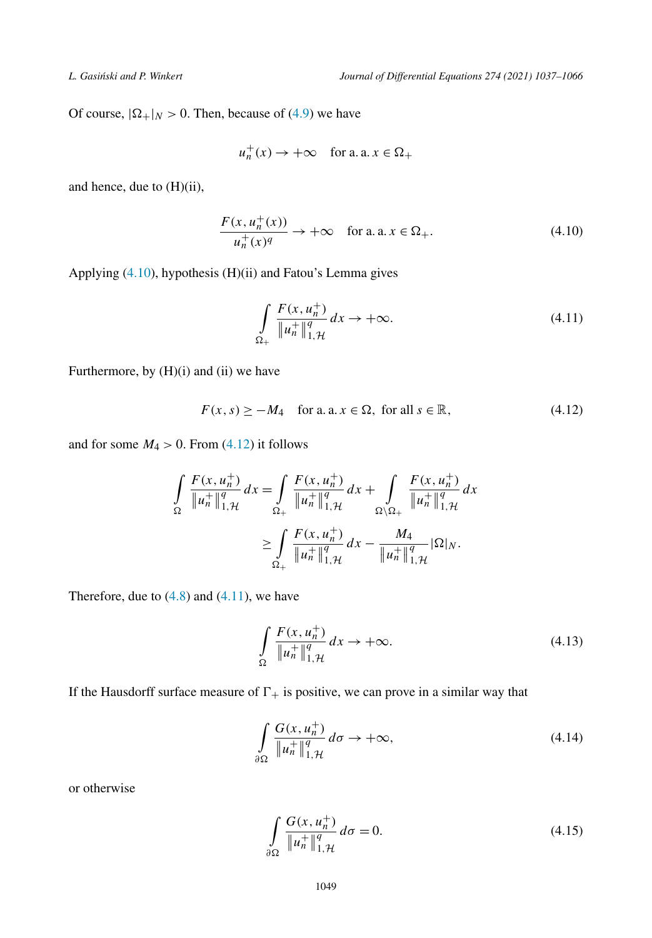<span id="page-12-0"></span>Of course,  $|\Omega_+|_N > 0$ . Then, because of [\(4.9\)](#page-11-0) we have

$$
u_n^+(x) \to +\infty \quad \text{for a. a. } x \in \Omega_+
$$

and hence, due to (H)(ii),

$$
\frac{F(x, u_n^+(x))}{u_n^+(x)^q} \to +\infty \quad \text{for a. a. } x \in \Omega_+.
$$
 (4.10)

Applying (4.10), hypothesis (H)(ii) and Fatou's Lemma gives

$$
\int_{\Omega_+} \frac{F(x, u_n^+)}{\|u_n^+\|_{1,\mathcal{H}}^q} dx \to +\infty.
$$
\n(4.11)

Furthermore, by  $(H)(i)$  and  $(ii)$  we have

$$
F(x, s) \ge -M_4 \quad \text{for a. a. } x \in \Omega, \text{ for all } s \in \mathbb{R}, \tag{4.12}
$$

and for some  $M_4 > 0$ . From (4.12) it follows

$$
\int_{\Omega} \frac{F(x, u_n^+)}{\|u_n^+\|_{1,\mathcal{H}}^q} dx = \int_{\Omega_+} \frac{F(x, u_n^+)}{\|u_n^+\|_{1,\mathcal{H}}^q} dx + \int_{\Omega \setminus \Omega_+} \frac{F(x, u_n^+)}{\|u_n^+\|_{1,\mathcal{H}}^q} dx
$$

$$
\geq \int_{\Omega_+} \frac{F(x, u_n^+)}{\|u_n^+\|_{1,\mathcal{H}}^q} dx - \frac{M_4}{\|u_n^+\|_{1,\mathcal{H}}^q} |\Omega|_N.
$$

Therefore, due to  $(4.8)$  and  $(4.11)$ , we have

$$
\int_{\Omega} \frac{F(x, u_n^+)}{\|u_n^+\|_{1,\mathcal{H}}^q} dx \to +\infty.
$$
\n(4.13)

If the Hausdorff surface measure of  $\Gamma_+$  is positive, we can prove in a similar way that

$$
\int_{\partial\Omega} \frac{G(x, u_n^+)}{\|u_n^+\|_{1,\mathcal{H}}^q} d\sigma \to +\infty,
$$
\n(4.14)

or otherwise

$$
\int_{\partial \Omega} \frac{G(x, u_n^+)}{\|u_n^+\|_{1, \mathcal{H}}^q} d\sigma = 0.
$$
\n(4.15)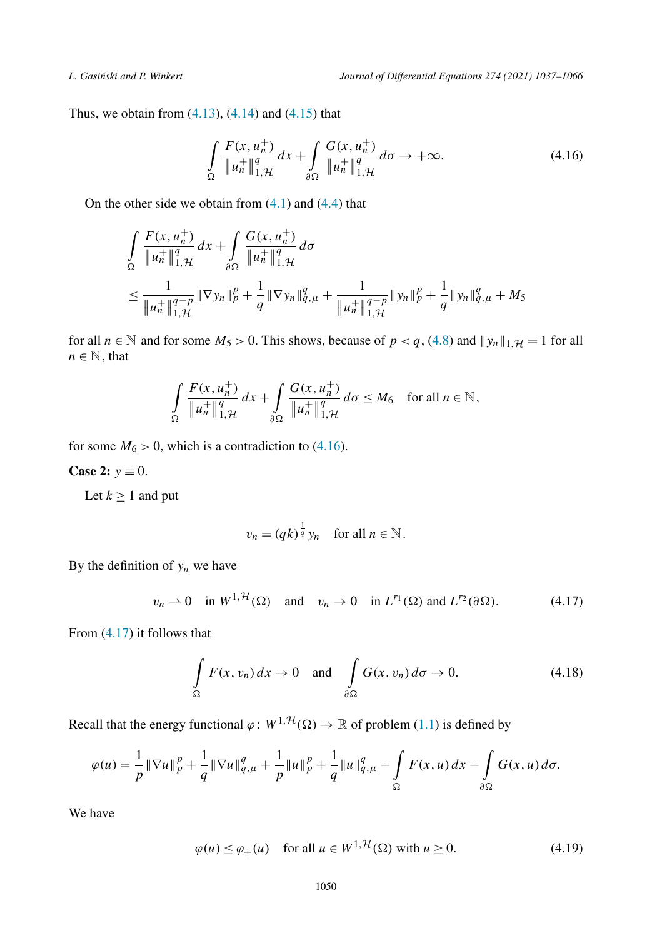<span id="page-13-0"></span>Thus, we obtain from  $(4.13)$ ,  $(4.14)$  and  $(4.15)$  $(4.15)$  $(4.15)$  that

$$
\int_{\Omega} \frac{F(x, u_n^+)}{\|u_n^+\|_{1,\mathcal{H}}^q} dx + \int_{\partial \Omega} \frac{G(x, u_n^+)}{\|u_n^+\|_{1,\mathcal{H}}^q} d\sigma \to +\infty.
$$
 (4.16)

On the other side we obtain from  $(4.1)$  and  $(4.4)$  $(4.4)$  that

$$
\int_{\Omega} \frac{F(x, u_n^+)}{\|u_n^+\|_{1,\mathcal{H}}^q} dx + \int_{\partial \Omega} \frac{G(x, u_n^+)}{\|u_n^+\|_{1,\mathcal{H}}^q} d\sigma
$$
\n
$$
\leq \frac{1}{\|u_n^+\|_{1,\mathcal{H}}^{q-p}} \|\nabla y_n\|_p^p + \frac{1}{q} \|\nabla y_n\|_{q,\mu}^q + \frac{1}{\|u_n^+\|_{1,\mathcal{H}}^{q-p}} \|y_n\|_p^p + \frac{1}{q} \|y_n\|_{q,\mu}^q + M_5
$$

for all  $n \in \mathbb{N}$  and for some  $M_5 > 0$ . This shows, because of  $p < q$ , ([4.8](#page-11-0)) and  $||y_n||_{1,\mathcal{H}} = 1$  for all  $n \in \mathbb{N}$ , that

$$
\int_{\Omega} \frac{F(x, u_n^+)}{\|u_n^+\|_{1,\mathcal{H}}^q} dx + \int_{\partial \Omega} \frac{G(x, u_n^+)}{\|u_n^+\|_{1,\mathcal{H}}^q} d\sigma \le M_6 \quad \text{for all } n \in \mathbb{N},
$$

for some  $M_6 > 0$ , which is a contradiction to (4.16).

**Case 2:**  $y \equiv 0$ .

Let  $k \geq 1$  and put

$$
v_n = (qk)^{\frac{1}{q}} y_n \quad \text{for all } n \in \mathbb{N}.
$$

By the definition of  $y_n$  we have

$$
v_n \rightharpoonup 0 \quad \text{in } W^{1,\mathcal{H}}(\Omega) \quad \text{and} \quad v_n \to 0 \quad \text{in } L^{r_1}(\Omega) \text{ and } L^{r_2}(\partial \Omega). \tag{4.17}
$$

From (4.17) it follows that

$$
\int_{\Omega} F(x, v_n) dx \to 0 \quad \text{and} \quad \int_{\partial \Omega} G(x, v_n) d\sigma \to 0.
$$
\n(4.18)

Recall that the energy functional  $\varphi: W^{1, \mathcal{H}}(\Omega) \to \mathbb{R}$  of problem [\(1.1\)](#page-1-0) is defined by

$$
\varphi(u) = \frac{1}{p} \|\nabla u\|_p^p + \frac{1}{q} \|\nabla u\|_{q,\mu}^q + \frac{1}{p} \|u\|_p^p + \frac{1}{q} \|u\|_{q,\mu}^q - \int_{\Omega} F(x, u) \, dx - \int_{\partial \Omega} G(x, u) \, d\sigma.
$$

We have

$$
\varphi(u) \le \varphi_+(u) \quad \text{for all } u \in W^{1, \mathcal{H}}(\Omega) \text{ with } u \ge 0. \tag{4.19}
$$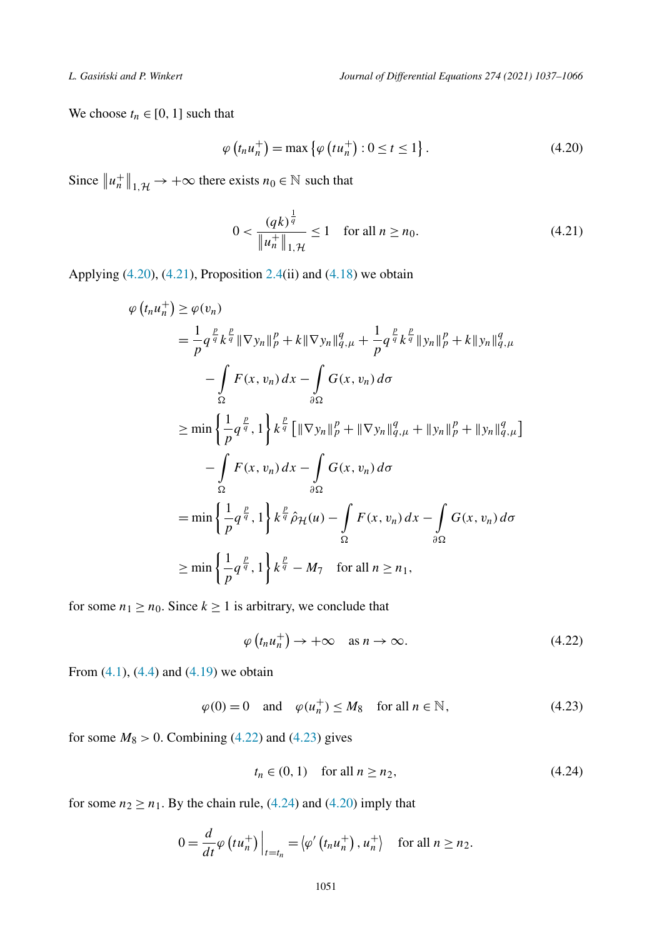<span id="page-14-0"></span>We choose  $t_n \in [0, 1]$  such that

$$
\varphi\left(t_n u_n^+\right) = \max\left\{\varphi\left(t u_n^+\right) : 0 \le t \le 1\right\}.
$$
\n(4.20)

Since  $||u_n^+||_{1,\mathcal{H}} \to +\infty$  there exists  $n_0 \in \mathbb{N}$  such that

$$
0 < \frac{(qk)^{\frac{1}{q}}}{\|u_n^+\|_{1,\mathcal{H}}} \le 1 \quad \text{for all } n \ge n_0. \tag{4.21}
$$

Applying  $(4.20)$ ,  $(4.21)$ , Proposition [2.4\(](#page-6-0)ii) and  $(4.18)$  $(4.18)$  $(4.18)$  we obtain

$$
\varphi(t_{n}u_{n}^{+}) \geq \varphi(v_{n})
$$
\n
$$
= \frac{1}{p} q^{\frac{p}{q}} k^{\frac{p}{q}} \|\nabla y_{n}\|_{p}^{p} + k \|\nabla y_{n}\|_{q,\mu}^{q} + \frac{1}{p} q^{\frac{p}{q}} k^{\frac{p}{q}} \|y_{n}\|_{p}^{p} + k \|y_{n}\|_{q,\mu}^{q}
$$
\n
$$
- \int_{\Omega} F(x, v_{n}) dx - \int_{\partial\Omega} G(x, v_{n}) d\sigma
$$
\n
$$
\geq \min \left\{\frac{1}{p} q^{\frac{p}{q}}, 1\right\} k^{\frac{p}{q}} \left[\|\nabla y_{n}\|_{p}^{p} + \|\nabla y_{n}\|_{q,\mu}^{q} + \|y_{n}\|_{p}^{p} + \|y_{n}\|_{q,\mu}^{q}\right]
$$
\n
$$
- \int_{\Omega} F(x, v_{n}) dx - \int_{\partial\Omega} G(x, v_{n}) d\sigma
$$
\n
$$
= \min \left\{\frac{1}{p} q^{\frac{p}{q}}, 1\right\} k^{\frac{p}{q}} \hat{\rho}_{\mathcal{H}}(u) - \int_{\Omega} F(x, v_{n}) dx - \int_{\partial\Omega} G(x, v_{n}) d\sigma
$$
\n
$$
\geq \min \left\{\frac{1}{p} q^{\frac{p}{q}}, 1\right\} k^{\frac{p}{q}} - M_{7} \quad \text{for all } n \geq n_{1},
$$

for some  $n_1 \ge n_0$ . Since  $k \ge 1$  is arbitrary, we conclude that

$$
\varphi(t_n u_n^+) \to +\infty \quad \text{as } n \to \infty. \tag{4.22}
$$

From  $(4.1)$  $(4.1)$ ,  $(4.4)$  and  $(4.19)$  we obtain

$$
\varphi(0) = 0 \quad \text{and} \quad \varphi(u_n^+) \le M_8 \quad \text{for all } n \in \mathbb{N},\tag{4.23}
$$

for some  $M_8 > 0$ . Combining (4.22) and (4.23) gives

$$
t_n \in (0, 1) \quad \text{for all } n \ge n_2,\tag{4.24}
$$

for some  $n_2 \ge n_1$ . By the chain rule, (4.24) and (4.20) imply that

$$
0 = \frac{d}{dt} \varphi \left( t u_n^+ \right) \Big|_{t = t_n} = \langle \varphi' \left( t_n u_n^+ \right), u_n^+ \rangle \quad \text{for all } n \geq n_2.
$$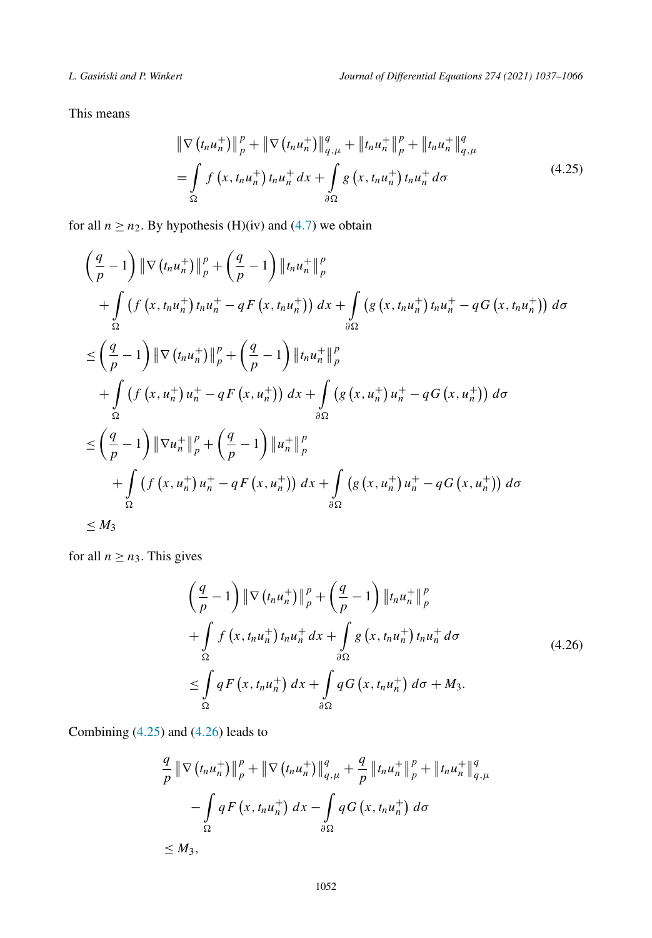This means

$$
\|\nabla (t_n u_n^+) \|_p^p + \|\nabla (t_n u_n^+) \|_{q,\mu}^q + \|t_n u_n^+ \|_p^p + \|t_n u_n^+ \|_{q,\mu}^q
$$
  
= 
$$
\int_{\Omega} f (x, t_n u_n^+) t_n u_n^+ dx + \int_{\partial \Omega} g (x, t_n u_n^+) t_n u_n^+ d\sigma
$$
 (4.25)

for all  $n \ge n_2$ . By hypothesis (H)(iv) and [\(4.7\)](#page-11-0) we obtain

$$
\left(\frac{q}{p}-1\right) \|\nabla (t_n u_n^+) \|_p^p + \left(\frac{q}{p}-1\right) \|t_n u_n^+ \|_p^p \n+ \int_{\Omega} \left(f\left(x, t_n u_n^+\right) t_n u_n^+ - q F\left(x, t_n u_n^+\right)\right) dx + \int_{\partial\Omega} \left(g\left(x, t_n u_n^+\right) t_n u_n^+ - q G\left(x, t_n u_n^+\right)\right) d\sigma \n\leq \left(\frac{q}{p}-1\right) \|\nabla (t_n u_n^+) \|_p^p + \left(\frac{q}{p}-1\right) \|t_n u_n^+ \|_p^p \n+ \int_{\Omega} \left(f\left(x, u_n^+\right) u_n^+ - q F\left(x, u_n^+\right)\right) dx + \int_{\partial\Omega} \left(g\left(x, u_n^+\right) u_n^+ - q G\left(x, u_n^+\right)\right) d\sigma \n\leq \left(\frac{q}{p}-1\right) \|\nabla u_n^+ \|_p^p + \left(\frac{q}{p}-1\right) \|u_n^+\|_p^p \n+ \int_{\Omega} \left(f\left(x, u_n^+\right) u_n^+ - q F\left(x, u_n^+\right)\right) dx + \int_{\partial\Omega} \left(g\left(x, u_n^+\right) u_n^+ - q G\left(x, u_n^+\right)\right) d\sigma \n\leq M_3
$$

for all  $n \ge n_3$ . This gives

$$
\left(\frac{q}{p}-1\right) \|\nabla \left(t_n u_n^+\right)\|_p^p + \left(\frac{q}{p}-1\right) \left\|t_n u_n^+\right\|_p^p
$$
  
+ 
$$
\int_{\Omega} f\left(x, t_n u_n^+\right) t_n u_n^+ dx + \int_{\partial \Omega} g\left(x, t_n u_n^+\right) t_n u_n^+ d\sigma
$$
  

$$
\leq \int_{\Omega} q F\left(x, t_n u_n^+\right) dx + \int_{\partial \Omega} q G\left(x, t_n u_n^+\right) d\sigma + M_3.
$$
\n(4.26)

Combining (4.25) and (4.26) leads to

$$
\frac{q}{p} \|\nabla (t_n u_n^+) \|_p^p + \|\nabla (t_n u_n^+) \|_{q,\mu}^q + \frac{q}{p} \|t_n u_n^+ \|_p^p + \|t_n u_n^+ \|_{q,\mu}^q
$$

$$
- \int_{\Omega} q F(x, t_n u_n^+) dx - \int_{\partial \Omega} q G(x, t_n u_n^+) d\sigma
$$

$$
\leq M_3,
$$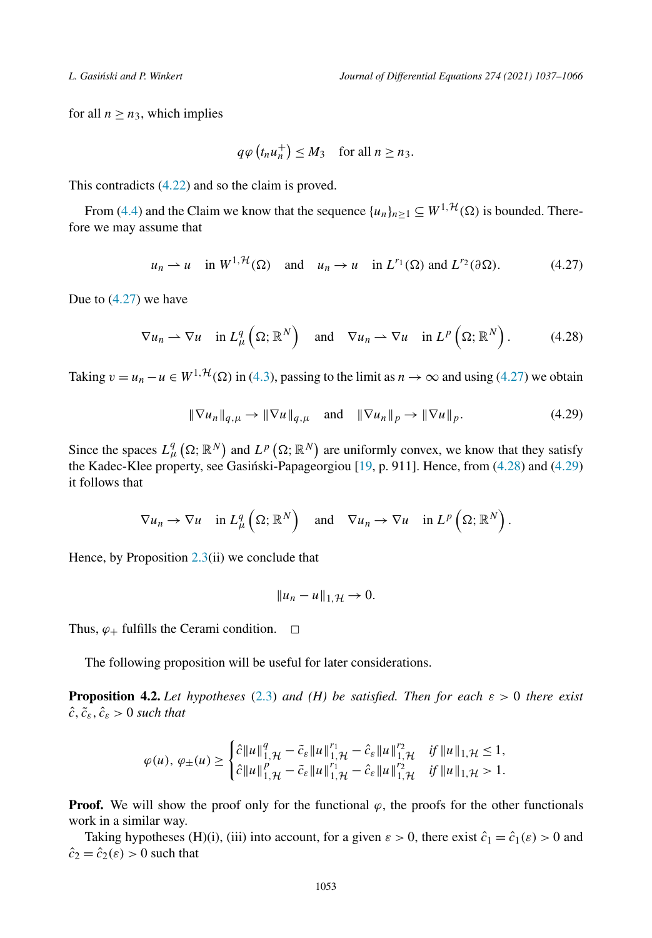<span id="page-16-0"></span>for all  $n \ge n_3$ , which implies

$$
q\varphi(t_nu_n^+) \leq M_3
$$
 for all  $n \geq n_3$ .

This contradicts [\(4.22\)](#page-14-0) and so the claim is proved.

From ([4.4](#page-11-0)) and the Claim we know that the sequence  $\{u_n\}_{n\geq 1} \subseteq W^{1,\mathcal{H}}(\Omega)$  is bounded. Therefore we may assume that

$$
u_n \rightharpoonup u
$$
 in  $W^{1,\mathcal{H}}(\Omega)$  and  $u_n \rightharpoonup u$  in  $L^{r_1}(\Omega)$  and  $L^{r_2}(\partial \Omega)$ . (4.27)

Due to (4.27) we have

$$
\nabla u_n \rightharpoonup \nabla u \quad \text{in } L^q_\mu\left(\Omega; \, \mathbb{R}^N\right) \quad \text{and} \quad \nabla u_n \rightharpoonup \nabla u \quad \text{in } L^p\left(\Omega; \, \mathbb{R}^N\right). \tag{4.28}
$$

Taking  $v = u_n - u \in W^{1, H}(\Omega)$  in ([4.3](#page-10-0)), passing to the limit as  $n \to \infty$  and using (4.27) we obtain

$$
\|\nabla u_n\|_{q,\mu} \to \|\nabla u\|_{q,\mu} \quad \text{and} \quad \|\nabla u_n\|_p \to \|\nabla u\|_p. \tag{4.29}
$$

Since the spaces  $L^q_\mu(\Omega;\mathbb{R}^N)$  and  $L^p(\Omega;\mathbb{R}^N)$  are uniformly convex, we know that they satisfy the Kadec-Klee property, see Gasinski-Papageorgiou  $[19, p. 911]$  $[19, p. 911]$ . Hence, from  $(4.28)$  and  $(4.29)$ it follows that

$$
\nabla u_n \to \nabla u \quad \text{in } L^q_\mu\left(\Omega; \, \mathbb{R}^N\right) \quad \text{and} \quad \nabla u_n \to \nabla u \quad \text{in } L^p\left(\Omega; \, \mathbb{R}^N\right).
$$

Hence, by Proposition [2.3](#page-5-0)(ii) we conclude that

$$
||u_n-u||_{1,\mathcal{H}}\to 0.
$$

Thus,  $\varphi_+$  fulfills the Cerami condition.  $\Box$ 

The following proposition will be useful for later considerations.

**Proposition 4.2.** *Let hypotheses* ([2.3](#page-3-0)) *and* (*H) be satisfied. Then for each*  $\varepsilon > 0$  *there exist*  $\hat{c}, \tilde{c}_{\varepsilon}, \hat{c}_{\varepsilon} > 0$  *such that* 

$$
\varphi(u), \varphi_{\pm}(u) \geq \begin{cases} \hat{c} \left\| u \right\|_{1, \mathcal{H}}^q - \tilde{c}_{\varepsilon} \left\| u \right\|_{1, \mathcal{H}}^{r_1} - \hat{c}_{\varepsilon} \left\| u \right\|_{1, \mathcal{H}}^{r_2} & \text{if } \left\| u \right\|_{1, \mathcal{H}} \leq 1, \\ \hat{c} \left\| u \right\|_{1, \mathcal{H}}^p - \tilde{c}_{\varepsilon} \left\| u \right\|_{1, \mathcal{H}}^{r_1} - \hat{c}_{\varepsilon} \left\| u \right\|_{1, \mathcal{H}}^{r_2} & \text{if } \left\| u \right\|_{1, \mathcal{H}} > 1. \end{cases}
$$

**Proof.** We will show the proof only for the functional  $\varphi$ , the proofs for the other functionals work in a similar way.

Taking hypotheses (H)(i), (iii) into account, for a given  $\varepsilon > 0$ , there exist  $\hat{c}_1 = \hat{c}_1(\varepsilon) > 0$  and  $\hat{c}_2 = \hat{c}_2(\varepsilon) > 0$  such that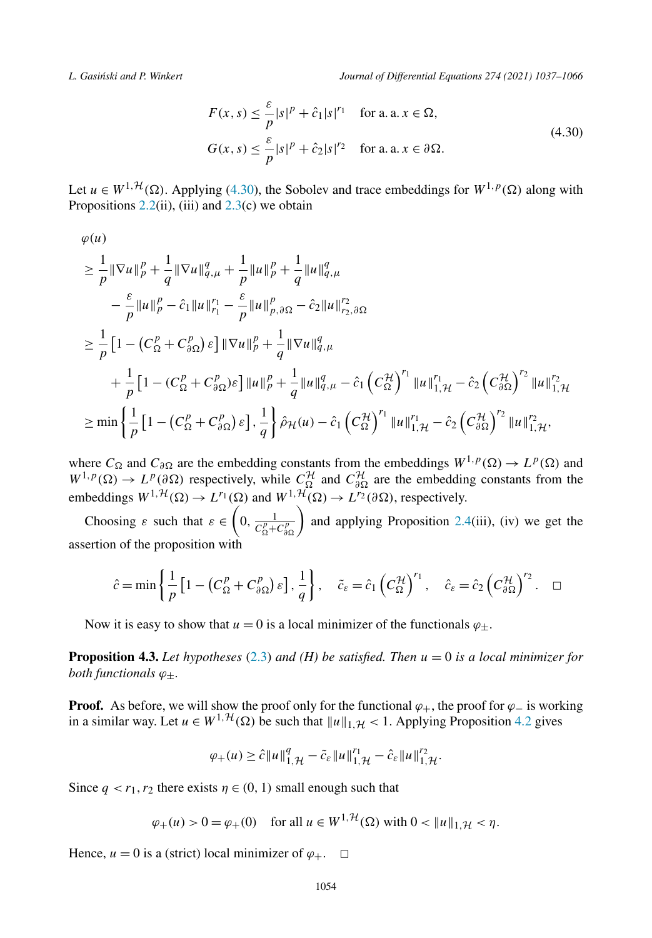<span id="page-17-0"></span>*L. Gasi´nski and P. Winkert Journal of Differential Equations 274 (2021) 1037–1066*

$$
F(x, s) \le \frac{\varepsilon}{p} |s|^p + \hat{c}_1 |s|^{r_1} \quad \text{for a. a. } x \in \Omega,
$$
  

$$
G(x, s) \le \frac{\varepsilon}{p} |s|^p + \hat{c}_2 |s|^{r_2} \quad \text{for a. a. } x \in \partial \Omega.
$$
 (4.30)

Let  $u \in W^{1, H}(\Omega)$ . Applying (4.30), the Sobolev and trace embeddings for  $W^{1, p}(\Omega)$  along with Propositions  $2.2$ (ii), (iii) and  $2.3$ (c) we obtain

$$
\varphi(u)
$$
\n
$$
\geq \frac{1}{p} \|\nabla u\|_{p}^{p} + \frac{1}{q} \|\nabla u\|_{q,\mu}^{q} + \frac{1}{p} \|u\|_{p}^{p} + \frac{1}{q} \|u\|_{q,\mu}^{q}
$$
\n
$$
- \frac{\varepsilon}{p} \|u\|_{p}^{p} - \hat{c}_{1} \|u\|_{r_{1}}^{r_{1}} - \frac{\varepsilon}{p} \|u\|_{p,\partial\Omega}^{p} - \hat{c}_{2} \|u\|_{r_{2},\partial\Omega}^{r_{2}}
$$
\n
$$
\geq \frac{1}{p} \Big[ 1 - \Big(C_{\Omega}^{p} + C_{\partial\Omega}^{p}\Big) \varepsilon \Big] \|\nabla u\|_{p}^{p} + \frac{1}{q} \|\nabla u\|_{q,\mu}^{q}
$$
\n
$$
+ \frac{1}{p} \Big[ 1 - \Big(C_{\Omega}^{p} + C_{\partial\Omega}^{p}\Big) \varepsilon \Big] \|u\|_{p}^{p} + \frac{1}{q} \|u\|_{q,\mu}^{q} - \hat{c}_{1} \Big(C_{\Omega}^{\mathcal{H}}\Big)^{r_{1}} \|u\|_{1,\mathcal{H}}^{r_{1}} - \hat{c}_{2} \Big(C_{\partial\Omega}^{\mathcal{H}}\Big)^{r_{2}} \|u\|_{1,\mathcal{H}}^{r_{2}}
$$
\n
$$
\geq \min \left\{ \frac{1}{p} \Big[ 1 - \Big(C_{\Omega}^{p} + C_{\partial\Omega}^{p}\Big) \varepsilon \Big], \frac{1}{q} \right\} \hat{\rho}_{\mathcal{H}}(u) - \hat{c}_{1} \Big(C_{\Omega}^{\mathcal{H}}\Big)^{r_{1}} \|u\|_{1,\mathcal{H}}^{r_{1}} - \hat{c}_{2} \Big(C_{\partial\Omega}^{\mathcal{H}}\Big)^{r_{2}} \|u\|_{1,\mathcal{H}}^{r_{2}},
$$

where  $C_{\Omega}$  and  $C_{\partial\Omega}$  are the embedding constants from the embeddings  $W^{1,p}(\Omega) \to L^p(\Omega)$  and  $W^{1,p}(\Omega) \to L^p(\partial \Omega)$  respectively, while  $C^{\mathcal{H}}_{\Omega}$  and  $C^{\mathcal{H}}_{\partial \Omega}$  are the embedding constants from the embeddings  $W^{1, H}(\Omega) \to L^{r_1}(\Omega)$  and  $W^{1, H}(\Omega) \to L^{r_2}(\partial \Omega)$ , respectively.

Choosing  $\varepsilon$  such that  $\varepsilon \in \left(0, \frac{1}{C_{\Omega}^p + C_{\partial \Omega}^p}\right)$  and applying Proposition [2.4](#page-6-0)(iii), (iv) we get the assertion of the proposition with

$$
\hat{c} = \min\left\{\frac{1}{p}\left[1 - \left(C_{\Omega}^p + C_{\partial\Omega}^p\right)\varepsilon\right], \frac{1}{q}\right\}, \quad \tilde{c}_{\varepsilon} = \hat{c}_1\left(C_{\Omega}^{\mathcal{H}}\right)^{r_1}, \quad \hat{c}_{\varepsilon} = \hat{c}_2\left(C_{\partial\Omega}^{\mathcal{H}}\right)^{r_2}. \quad \Box
$$

Now it is easy to show that  $u = 0$  is a local minimizer of the functionals  $\varphi_{+}$ .

**Proposition 4.3.** Let hypotheses ([2.3](#page-3-0)) and (H) be satisfied. Then  $u = 0$  is a local minimizer for *both functionals ϕ*±*.*

**Proof.** As before, we will show the proof only for the functional  $\varphi_+$ , the proof for  $\varphi_-$  is working in a similar way. Let  $u \in W^{1, H}(\Omega)$  be such that  $||u||_{1, H} < 1$ . Applying Proposition [4.2](#page-16-0) gives

$$
\varphi_+(u) \geq \hat{c} \|u\|_{1,\mathcal{H}}^q - \tilde{c}_{\varepsilon} \|u\|_{1,\mathcal{H}}^{r_1} - \hat{c}_{\varepsilon} \|u\|_{1,\mathcal{H}}^{r_2}.
$$

Since  $q < r_1, r_2$  there exists  $\eta \in (0, 1)$  small enough such that

$$
\varphi_+(u) > 0 = \varphi_+(0)
$$
 for all  $u \in W^{1, H}(\Omega)$  with  $0 < ||u||_{1, H} < \eta$ .

Hence,  $u = 0$  is a (strict) local minimizer of  $\varphi_+$ .  $\Box$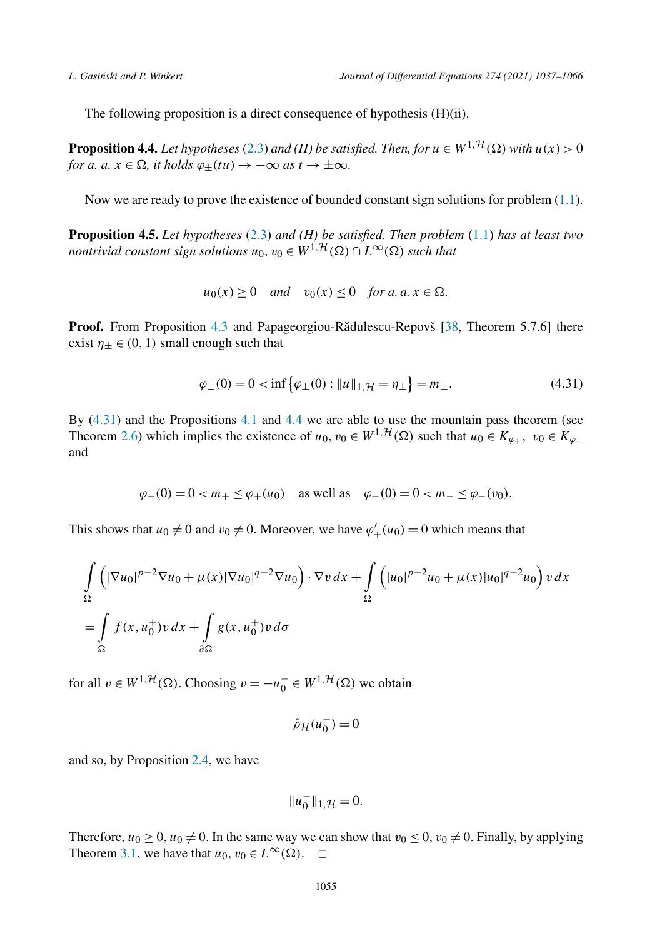<span id="page-18-0"></span>The following proposition is a direct consequence of hypothesis (H)(ii).

**Proposition 4.4.** Let hypotheses [\(2.3\)](#page-3-0) and (H) be satisfied. Then, for  $u \in W^{1, H}(\Omega)$  with  $u(x) > 0$ *for a.*  $a, x \in \Omega$ , *it holds*  $\varphi_{\pm}(tu) \rightarrow -\infty$  *as*  $t \rightarrow \pm \infty$ *.* 

Now we are ready to prove the existence of bounded constant sign solutions for problem [\(1.1\)](#page-1-0).

**Proposition 4.5.** *Let hypotheses* ([2.3](#page-3-0)) *and (H) be satisfied. Then problem* [\(1.1](#page-1-0)) *has at least two nontrivial constant sign solutions*  $u_0, v_0 \in W^{1, \mathcal{H}}(\Omega) \cap L^{\infty}(\Omega)$  *such that* 

$$
u_0(x) \ge 0
$$
 and  $v_0(x) \le 0$  for a.  $a, x \in \Omega$ .

**Proof.** From Proposition [4.3](#page-17-0) and Papageorgiou-Rădulescu-Repovš [\[38](#page-29-0), Theorem 5.7.6] there exist  $\eta_+ \in (0, 1)$  small enough such that

$$
\varphi_{\pm}(0) = 0 < \inf \{ \varphi_{\pm}(0) : \|u\|_{1,\mathcal{H}} = \eta_{\pm} \} = m_{\pm}.\tag{4.31}
$$

By  $(4.31)$  and the Propositions [4.1](#page-10-0) and 4.4 we are able to use the mountain pass theorem (see Theorem [2.6\)](#page-7-0) which implies the existence of  $u_0, v_0 \in W^{1, H}(\Omega)$  such that  $u_0 \in K_{\varphi_+}$ ,  $v_0 \in K_{\varphi_-}$ and

$$
\varphi_+(0) = 0 < m_+ \leq \varphi_+(u_0)
$$
 as well as  $\varphi_-(0) = 0 < m_- \leq \varphi_-(v_0)$ .

This shows that  $u_0 \neq 0$  and  $v_0 \neq 0$ . Moreover, we have  $\varphi'_{+}(u_0) = 0$  which means that

$$
\int_{\Omega} \left( |\nabla u_0|^{p-2} \nabla u_0 + \mu(x) |\nabla u_0|^{q-2} \nabla u_0 \right) \cdot \nabla v \, dx + \int_{\Omega} \left( |u_0|^{p-2} u_0 + \mu(x) |u_0|^{q-2} u_0 \right) v \, dx
$$

$$
= \int_{\Omega} f(x, u_0^+) v \, dx + \int_{\partial \Omega} g(x, u_0^+) v \, d\sigma
$$

for all  $v \in W^{1, H}(\Omega)$ . Choosing  $v = -u_0^- \in W^{1, H}(\Omega)$  we obtain

$$
\hat{\rho}_{\mathcal{H}}(u_0^-) = 0
$$

and so, by Proposition [2.4,](#page-6-0) we have

$$
||u_0^-||_{1,\mathcal{H}}=0.
$$

Therefore,  $u_0 \ge 0$ ,  $u_0 \ne 0$ . In the same way we can show that  $v_0 \le 0$ ,  $v_0 \ne 0$ . Finally, by applying Theorem [3.1,](#page-8-0) we have that  $u_0, v_0 \in L^{\infty}(\Omega)$ .  $\Box$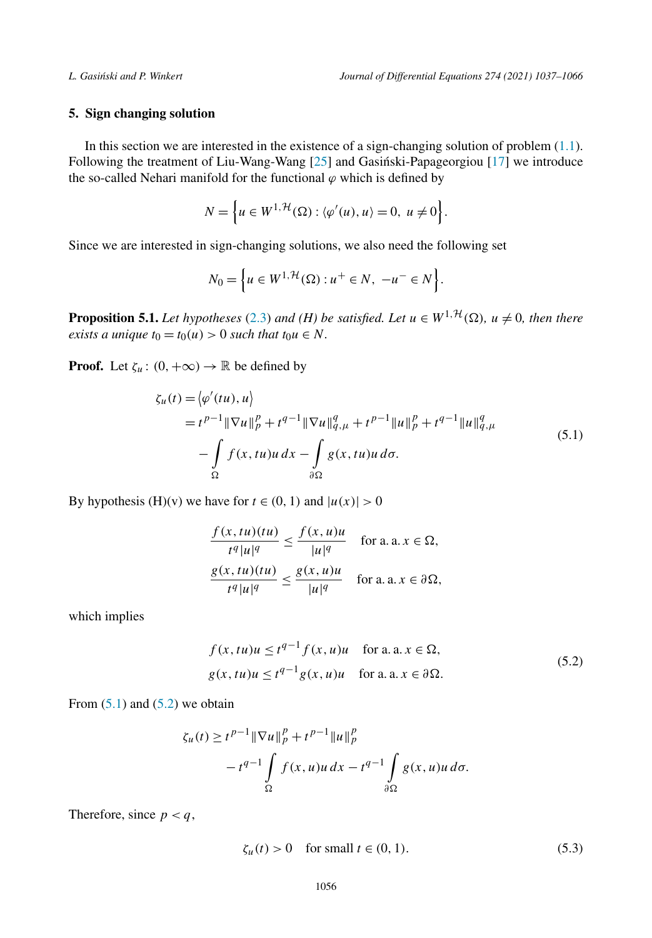# <span id="page-19-0"></span>**5. Sign changing solution**

In this section we are interested in the existence of a sign-changing solution of problem [\(1.1](#page-1-0)). Following the treatment of Liu-Wang-Wang  $[25]$  and Gasinski-Papageorgiou  $[17]$  $[17]$  we introduce the so-called Nehari manifold for the functional  $\varphi$  which is defined by

$$
N = \left\{ u \in W^{1, \mathcal{H}}(\Omega) : \langle \varphi'(u), u \rangle = 0, u \neq 0 \right\}.
$$

Since we are interested in sign-changing solutions, we also need the following set

$$
N_0 = \left\{ u \in W^{1, \mathcal{H}}(\Omega) : u^+ \in N, \ -u^- \in N \right\}.
$$

**Proposition 5.1.** Let hypotheses [\(2.3\)](#page-3-0) and (H) be satisfied. Let  $u \in W^{1,\mathcal{H}}(\Omega)$ ,  $u \neq 0$ , then there *exists a unique*  $t_0 = t_0(u) > 0$  *such that*  $t_0u \in N$ *.* 

**Proof.** Let  $\zeta_u : (0, +\infty) \to \mathbb{R}$  be defined by

$$
\zeta_u(t) = \langle \varphi'(tu), u \rangle \n= t^{p-1} \|\nabla u\|_p^p + t^{q-1} \|\nabla u\|_{q,\mu}^q + t^{p-1} \|u\|_p^p + t^{q-1} \|u\|_{q,\mu}^q \n- \int_{\Omega} f(x, tu)u \, dx - \int_{\partial \Omega} g(x, tu)u \, d\sigma.
$$
\n(5.1)

By hypothesis (H)(v) we have for  $t \in (0, 1)$  and  $|u(x)| > 0$ 

$$
\frac{f(x, tu)(tu)}{t^q |u|^q} \le \frac{f(x, u)u}{|u|^q} \quad \text{for a. a. } x \in \Omega,
$$
  

$$
\frac{g(x, tu)(tu)}{t^q |u|^q} \le \frac{g(x, u)u}{|u|^q} \quad \text{for a. a. } x \in \partial\Omega,
$$

which implies

$$
f(x, tu)u \le t^{q-1} f(x, u)u \quad \text{for a. a. } x \in \Omega,
$$
  
 
$$
g(x, tu)u \le t^{q-1} g(x, u)u \quad \text{for a. a. } x \in \partial \Omega.
$$
 (5.2)

From  $(5.1)$  and  $(5.2)$  we obtain

$$
\zeta_u(t) \ge t^{p-1} \|\nabla u\|_p^p + t^{p-1} \|u\|_p^p
$$
  

$$
-t^{q-1} \int_{\Omega} f(x, u)u \, dx - t^{q-1} \int_{\partial \Omega} g(x, u)u \, d\sigma.
$$

Therefore, since  $p < q$ ,

$$
\zeta_u(t) > 0 \quad \text{for small } t \in (0, 1). \tag{5.3}
$$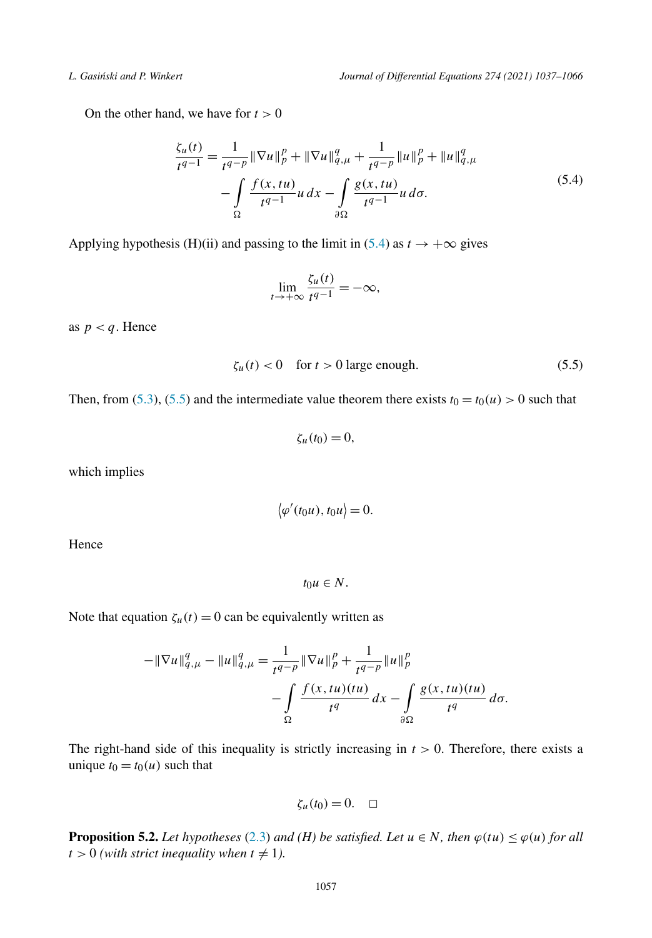<span id="page-20-0"></span>On the other hand, we have for  $t > 0$ 

$$
\frac{\zeta_u(t)}{t^{q-1}} = \frac{1}{t^{q-p}} \|\nabla u\|_p^p + \|\nabla u\|_{q,\mu}^q + \frac{1}{t^{q-p}} \|u\|_p^p + \|u\|_{q,\mu}^q \n- \int_{\Omega} \frac{f(x, tu)}{t^{q-1}} u \, dx - \int_{\partial \Omega} \frac{g(x, tu)}{t^{q-1}} u \, d\sigma.
$$
\n(5.4)

Applying hypothesis (H)(ii) and passing to the limit in (5.4) as  $t \to +\infty$  gives

$$
\lim_{t \to +\infty} \frac{\zeta_u(t)}{t^{q-1}} = -\infty,
$$

as  $p < q$ . Hence

$$
\zeta_u(t) < 0 \quad \text{for } t > 0 \text{ large enough.} \tag{5.5}
$$

Then, from [\(5.3\)](#page-19-0), (5.5) and the intermediate value theorem there exists  $t_0 = t_0(u) > 0$  such that

$$
\zeta_u(t_0)=0,
$$

which implies

$$
\langle \varphi'(t_0u), t_0u \rangle = 0.
$$

Hence

 $t_0 u \in N$ .

Note that equation  $\zeta_u(t) = 0$  can be equivalently written as

$$
-\|\nabla u\|_{q,\mu}^q - \|u\|_{q,\mu}^q = \frac{1}{t^{q-p}} \|\nabla u\|_p^p + \frac{1}{t^{q-p}} \|u\|_p^p
$$

$$
-\int_{\Omega} \frac{f(x, tu)(tu)}{t^q} dx - \int_{\partial\Omega} \frac{g(x, tu)(tu)}{t^q} d\sigma.
$$

The right-hand side of this inequality is strictly increasing in  $t > 0$ . Therefore, there exists a unique  $t_0 = t_0(u)$  such that

$$
\zeta_u(t_0)=0.\quad \Box
$$

**Proposition 5.2.** *Let hypotheses* ([2.3](#page-3-0)) *and* (*H*) *be satisfied. Let*  $u \in N$ *, then*  $\varphi(tu) \leq \varphi(u)$  *for all*  $t > 0$  (with *strict* inequality when  $t \neq 1$ ).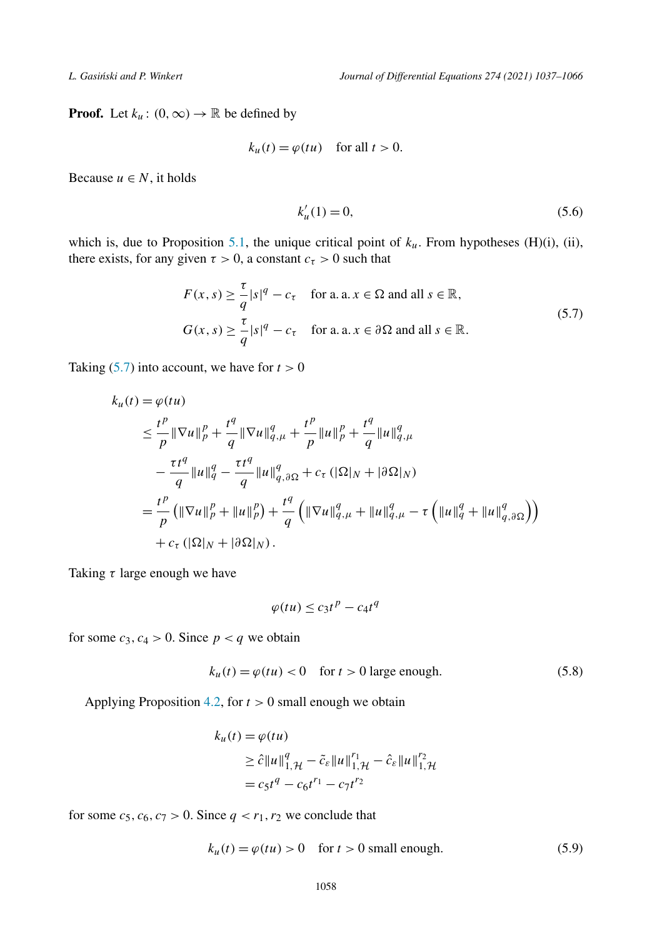<span id="page-21-0"></span>**Proof.** Let  $k_u$  :  $(0, \infty) \rightarrow \mathbb{R}$  be defined by

$$
k_u(t) = \varphi(tu) \quad \text{for all } t > 0.
$$

Because  $u \in N$ , it holds

$$
k'_u(1) = 0,\t(5.6)
$$

which is, due to Proposition [5.1,](#page-19-0) the unique critical point of  $k<sub>u</sub>$ . From hypotheses (H)(i), (ii), there exists, for any given  $\tau > 0$ , a constant  $c_{\tau} > 0$  such that

$$
F(x, s) \ge \frac{\tau}{q} |s|^q - c_\tau \quad \text{for a. a. } x \in \Omega \text{ and all } s \in \mathbb{R},
$$
  

$$
G(x, s) \ge \frac{\tau}{q} |s|^q - c_\tau \quad \text{for a. a. } x \in \partial \Omega \text{ and all } s \in \mathbb{R}.
$$
 (5.7)

Taking  $(5.7)$  into account, we have for  $t > 0$ 

$$
k_{u}(t) = \varphi(tu)
$$
  
\n
$$
\leq \frac{t^{p}}{p} \|\nabla u\|_{p}^{p} + \frac{t^{q}}{q} \|\nabla u\|_{q,\mu}^{q} + \frac{t^{p}}{p} \|u\|_{p}^{p} + \frac{t^{q}}{q} \|u\|_{q,\mu}^{q}
$$
  
\n
$$
- \frac{\tau t^{q}}{q} \|u\|_{q}^{q} - \frac{\tau t^{q}}{q} \|u\|_{q,\partial\Omega}^{q} + c_{\tau} (|\Omega|_{N} + |\partial\Omega|_{N})
$$
  
\n
$$
= \frac{t^{p}}{p} ( \|\nabla u\|_{p}^{p} + \|u\|_{p}^{p} ) + \frac{t^{q}}{q} ( \|\nabla u\|_{q,\mu}^{q} + \|u\|_{q,\mu}^{q} - \tau ( \|u\|_{q}^{q} + \|u\|_{q,\partial\Omega}^{q} ) )
$$
  
\n
$$
+ c_{\tau} (|\Omega|_{N} + |\partial\Omega|_{N}).
$$

Taking *τ* large enough we have

$$
\varphi(tu) \le c_3 t^p - c_4 t^q
$$

for some  $c_3$ ,  $c_4 > 0$ . Since  $p < q$  we obtain

$$
k_u(t) = \varphi(tu) < 0 \quad \text{for } t > 0 \text{ large enough.} \tag{5.8}
$$

Applying Proposition [4.2,](#page-16-0) for *t >* 0 small enough we obtain

$$
k_u(t) = \varphi(tu)
$$
  
\n
$$
\geq \hat{c} \|u\|_{1,\mathcal{H}}^q - \tilde{c}_{\varepsilon} \|u\|_{1,\mathcal{H}}^{r_1} - \hat{c}_{\varepsilon} \|u\|_{1,\mathcal{H}}^{r_2}
$$
  
\n
$$
= c_5 t^q - c_6 t^{r_1} - c_7 t^{r_2}
$$

for some  $c_5$ ,  $c_6$ ,  $c_7 > 0$ . Since  $q < r_1, r_2$  we conclude that

$$
k_u(t) = \varphi(tu) > 0 \quad \text{for } t > 0 \text{ small enough.} \tag{5.9}
$$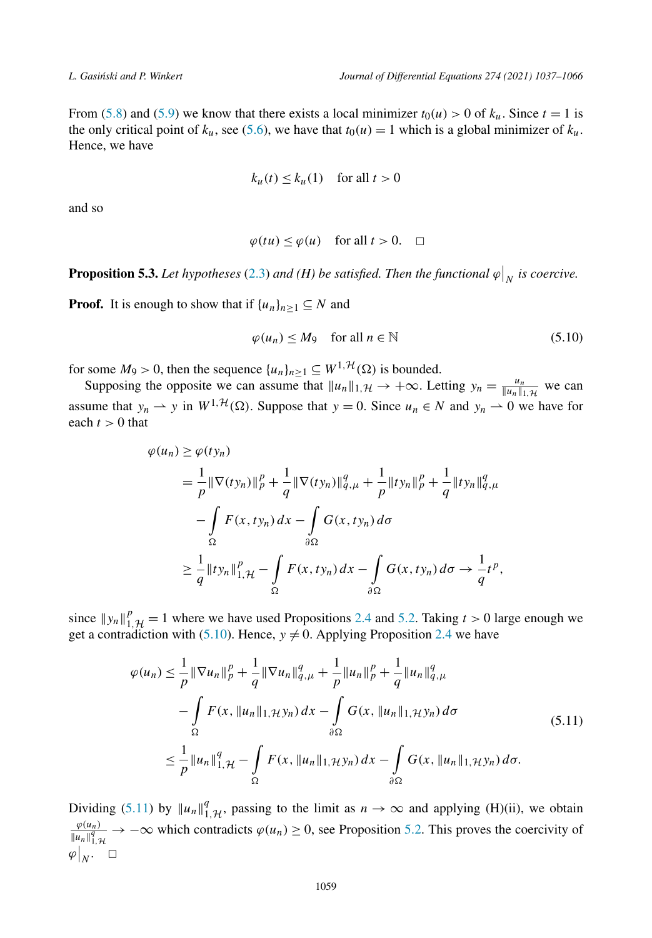<span id="page-22-0"></span>From [\(5.8\)](#page-21-0) and [\(5.9](#page-21-0)) we know that there exists a local minimizer  $t_0(u) > 0$  of  $k_u$ . Since  $t = 1$  is the only critical point of  $k_u$ , see ([5.6](#page-21-0)), we have that  $t_0(u) = 1$  which is a global minimizer of  $k_u$ . Hence, we have

$$
k_u(t) \le k_u(1) \quad \text{for all } t > 0
$$

and so

$$
\varphi(tu) \le \varphi(u) \quad \text{for all } t > 0. \quad \Box
$$

**Proposition 5.3.** Let hypotheses [\(2.3\)](#page-3-0) and (H) be satisfied. Then the functional  $\varphi|_N$  is coercive.

**Proof.** It is enough to show that if  $\{u_n\}_{n>1} \subseteq N$  and

$$
\varphi(u_n) \le M_9 \quad \text{for all } n \in \mathbb{N} \tag{5.10}
$$

for some  $M_9 > 0$ , then the sequence  $\{u_n\}_{n \geq 1} \subseteq W^{1, \mathcal{H}}(\Omega)$  is bounded.

Supposing the opposite we can assume that  $||u_n||_{1,\mathcal{H}} \to +\infty$ . Letting  $y_n = \frac{u_n}{||u_n||_{1,\mathcal{H}}}$  we can assume that  $y_n \rightharpoonup y$  in  $W^{1, H}(\Omega)$ . Suppose that  $y = 0$ . Since  $u_n \in N$  and  $y_n \rightharpoonup 0$  we have for each  $t > 0$  that

$$
\varphi(u_n) \ge \varphi(t y_n)
$$
  
=  $\frac{1}{p} \|\nabla(t y_n)\|_p^p + \frac{1}{q} \|\nabla(t y_n)\|_{q,\mu}^q + \frac{1}{p} \|t y_n\|_p^p + \frac{1}{q} \|t y_n\|_{q,\mu}^q$   

$$
- \int_{\Omega} F(x, t y_n) dx - \int_{\partial \Omega} G(x, t y_n) d\sigma
$$
  

$$
\ge \frac{1}{q} \|t y_n\|_{1,\mathcal{H}}^p - \int_{\Omega} F(x, t y_n) dx - \int_{\partial \Omega} G(x, t y_n) d\sigma \to \frac{1}{q} t^p,
$$

since  $||y_n||_{1,\mathcal{H}}^p = 1$  where we have used Propositions [2.4](#page-6-0) and [5.2](#page-20-0). Taking  $t > 0$  large enough we get a contradiction with (5.10). Hence,  $y \neq 0$ . Applying Proposition 2.4 we have

$$
\varphi(u_n) \leq \frac{1}{p} \|\nabla u_n\|_p^p + \frac{1}{q} \|\nabla u_n\|_{q,\mu}^q + \frac{1}{p} \|u_n\|_p^p + \frac{1}{q} \|u_n\|_{q,\mu}^q \n- \int_{\Omega} F(x, \|u_n\|_{1,\mathcal{H}} y_n) dx - \int_{\partial\Omega} G(x, \|u_n\|_{1,\mathcal{H}} y_n) d\sigma \n\leq \frac{1}{p} \|u_n\|_{1,\mathcal{H}}^q - \int_{\Omega} F(x, \|u_n\|_{1,\mathcal{H}} y_n) dx - \int_{\partial\Omega} G(x, \|u_n\|_{1,\mathcal{H}} y_n) d\sigma.
$$
\n(5.11)

Dividing (5.11) by  $||u_n||_{1,\mathcal{H}}^q$ , passing to the limit as  $n \to \infty$  and applying (H)(ii), we obtain *ϕ(un)*  $\frac{\varphi(u_n)}{\|u_n\|_{1,\mathcal{H}}^q}$   $\to -\infty$  which contradicts  $\varphi(u_n) \ge 0$ , see Proposition [5.2.](#page-20-0) This proves the coercivity of  $\left. \varphi \right|_N$ .  $\Box$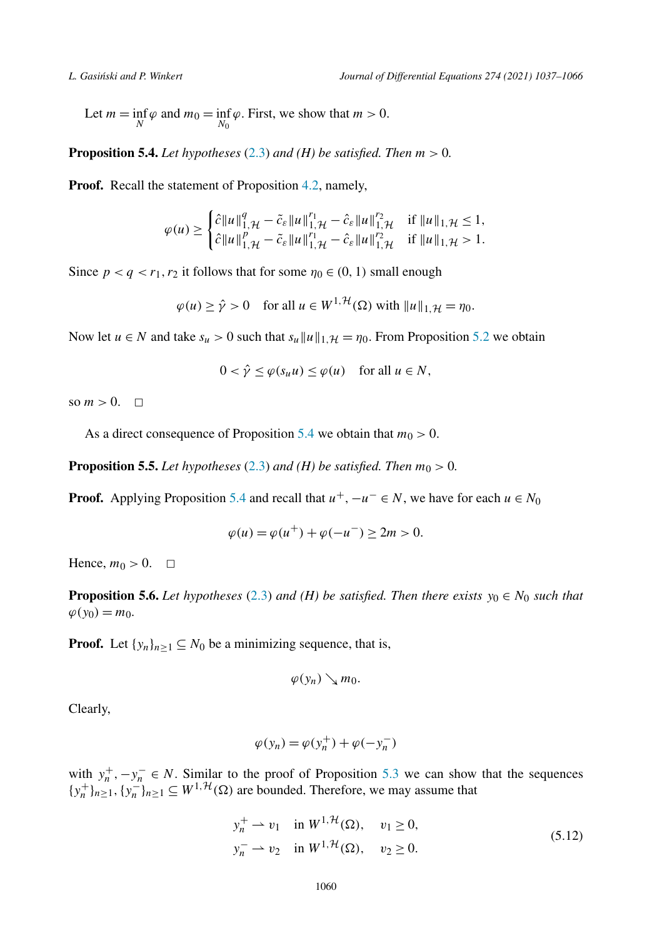<span id="page-23-0"></span>Let  $m = \inf_{N} \varphi$  and  $m_0 = \inf_{N_0} \varphi$ . First, we show that  $m > 0$ .

**Proposition 5.4.** *Let hypotheses* [\(2.3\)](#page-3-0) *and* (*H*) *be satisfied. Then*  $m > 0$ .

**Proof.** Recall the statement of Proposition [4.2,](#page-16-0) namely,

$$
\varphi(u) \geq \begin{cases} \hat{c} \|u\|_{1,\mathcal{H}}^q - \tilde{c}_{\varepsilon} \|u\|_{1,\mathcal{H}}^{r_1} - \hat{c}_{\varepsilon} \|u\|_{1,\mathcal{H}}^{r_2} & \text{if } \|u\|_{1,\mathcal{H}} \leq 1, \\ \hat{c} \|u\|_{1,\mathcal{H}}^p - \tilde{c}_{\varepsilon} \|u\|_{1,\mathcal{H}}^{r_1} - \hat{c}_{\varepsilon} \|u\|_{1,\mathcal{H}}^{r_2} & \text{if } \|u\|_{1,\mathcal{H}} > 1. \end{cases}
$$

Since  $p < q < r_1, r_2$  it follows that for some  $\eta_0 \in (0, 1)$  small enough

$$
\varphi(u) \ge \hat{\gamma} > 0 \quad \text{for all } u \in W^{1, \mathcal{H}}(\Omega) \text{ with } \|u\|_{1, \mathcal{H}} = \eta_0.
$$

Now let  $u \in N$  and take  $s_u > 0$  such that  $s_u ||u||_{1,\mathcal{H}} = \eta_0$ . From Proposition [5.2](#page-20-0) we obtain

$$
0 < \hat{\gamma} \le \varphi(s_u u) \le \varphi(u) \quad \text{for all } u \in N,
$$

so  $m > 0$ .  $\Box$ 

As a direct consequence of Proposition 5.4 we obtain that  $m_0 > 0$ .

**Proposition 5.5.** *Let hypotheses* [\(2.3\)](#page-3-0) *and (H) be satisfied. Then*  $m_0 > 0$ *.* 

**Proof.** Applying Proposition 5.4 and recall that  $u^+$ ,  $-u^- \in N$ , we have for each  $u \in N_0$ 

$$
\varphi(u) = \varphi(u^+) + \varphi(-u^-) \ge 2m > 0.
$$

Hence,  $m_0 > 0$ .  $\Box$ 

**Proposition 5.6.** *Let hypotheses* [\(2.3](#page-3-0)) *and (H) be satisfied. Then there exists*  $y_0 \in N_0$  *such that*  $\varphi(y_0) = m_0$ .

**Proof.** Let  $\{y_n\}_{n\geq 1} \subseteq N_0$  be a minimizing sequence, that is,

$$
\varphi(y_n)\searrow m_0.
$$

Clearly,

$$
\varphi(y_n) = \varphi(y_n^+) + \varphi(-y_n^-)
$$

with  $y_n^+$ ,  $-y_n^- \in N$ . Similar to the proof of Proposition [5.3](#page-22-0) we can show that the sequences  ${y_n^+}_{n=1}$ ,  ${y_n^-}_{n\geq 1}$  ⊆  $W^{1, \mathcal{H}}(\Omega)$  are bounded. Therefore, we may assume that

$$
y_n^+ \rightharpoonup v_1 \quad \text{in } W^{1, \mathcal{H}}(\Omega), \quad v_1 \ge 0,
$$
  

$$
y_n^- \rightharpoonup v_2 \quad \text{in } W^{1, \mathcal{H}}(\Omega), \quad v_2 \ge 0.
$$
 (5.12)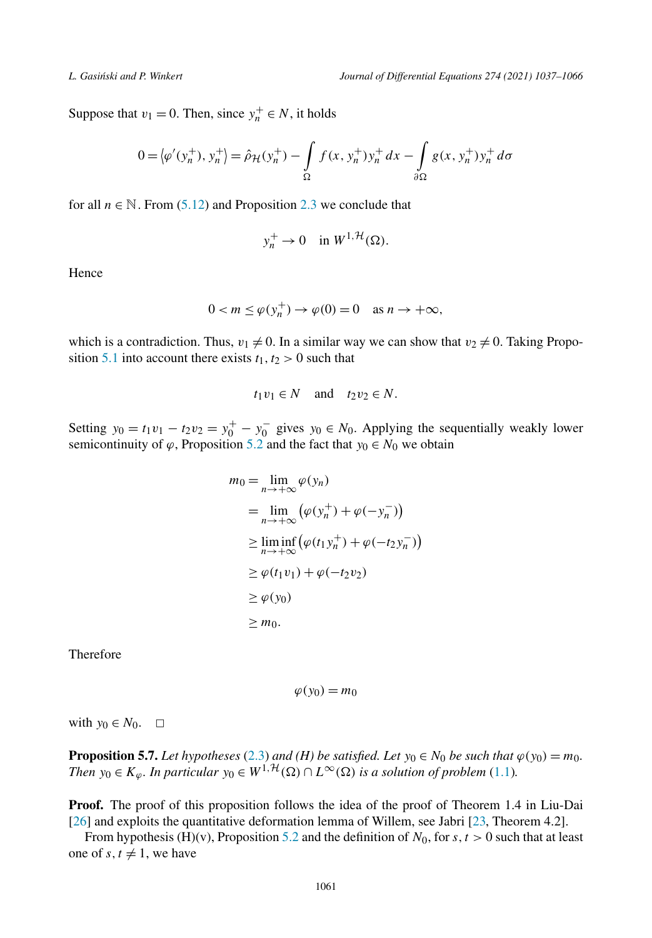<span id="page-24-0"></span>Suppose that  $v_1 = 0$ . Then, since  $y_n^+ \in N$ , it holds

$$
0 = \langle \varphi'(y_n^+), y_n^+ \rangle = \hat{\rho}_{\mathcal{H}}(y_n^+) - \int_{\Omega} f(x, y_n^+) y_n^+ dx - \int_{\partial \Omega} g(x, y_n^+) y_n^+ d\sigma
$$

for all  $n \in \mathbb{N}$ . From [\(5.12\)](#page-23-0) and Proposition [2.3](#page-5-0) we conclude that

$$
y_n^+ \to 0 \quad \text{in } W^{1, \mathcal{H}}(\Omega).
$$

Hence

$$
0 < m \le \varphi(y_n^+) \to \varphi(0) = 0 \quad \text{as } n \to +\infty,
$$

which is a contradiction. Thus,  $v_1 \neq 0$ . In a similar way we can show that  $v_2 \neq 0$ . Taking Propo-sition [5.1](#page-19-0) into account there exists  $t_1, t_2 > 0$  such that

$$
t_1v_1 \in N \quad \text{and} \quad t_2v_2 \in N.
$$

Setting  $y_0 = t_1v_1 - t_2v_2 = y_0^+ - y_0^-$  gives  $y_0 \in N_0$ . Applying the sequentially weakly lower semicontinuity of  $\varphi$ , Proposition [5.2](#page-20-0) and the fact that  $y_0 \in N_0$  we obtain

$$
m_0 = \lim_{n \to +\infty} \varphi(y_n)
$$
  
= 
$$
\lim_{n \to +\infty} (\varphi(y_n^+) + \varphi(-y_n^-))
$$
  

$$
\geq \liminf_{n \to +\infty} (\varphi(t_1y_n^+) + \varphi(-t_2y_n^-))
$$
  

$$
\geq \varphi(t_1v_1) + \varphi(-t_2v_2)
$$
  

$$
\geq \varphi(y_0)
$$
  

$$
\geq m_0.
$$

Therefore

$$
\varphi(y_0)=m_0
$$

with  $y_0 \in N_0$ .  $\Box$ 

**Proposition 5.7.** *Let hypotheses* ([2.3](#page-3-0)) *and (H) be satisfied. Let*  $y_0 \in N_0$  *be such that*  $\varphi(y_0) = m_0$ *. Then*  $y_0 \in K_\varphi$ *. In particular*  $y_0 \in W^{1, H}(\Omega) \cap L^\infty(\Omega)$  *is a solution of problem* ([1.1](#page-1-0))*.* 

**Proof.** The proof of this proposition follows the idea of the proof of Theorem 1.4 in Liu-Dai [[26\]](#page-28-0) and exploits the quantitative deformation lemma of Willem, see Jabri [[23,](#page-28-0) Theorem 4.2].

From hypothesis (H)(v), Proposition [5.2](#page-20-0) and the definition of  $N_0$ , for  $s, t > 0$  such that at least one of  $s, t \neq 1$ , we have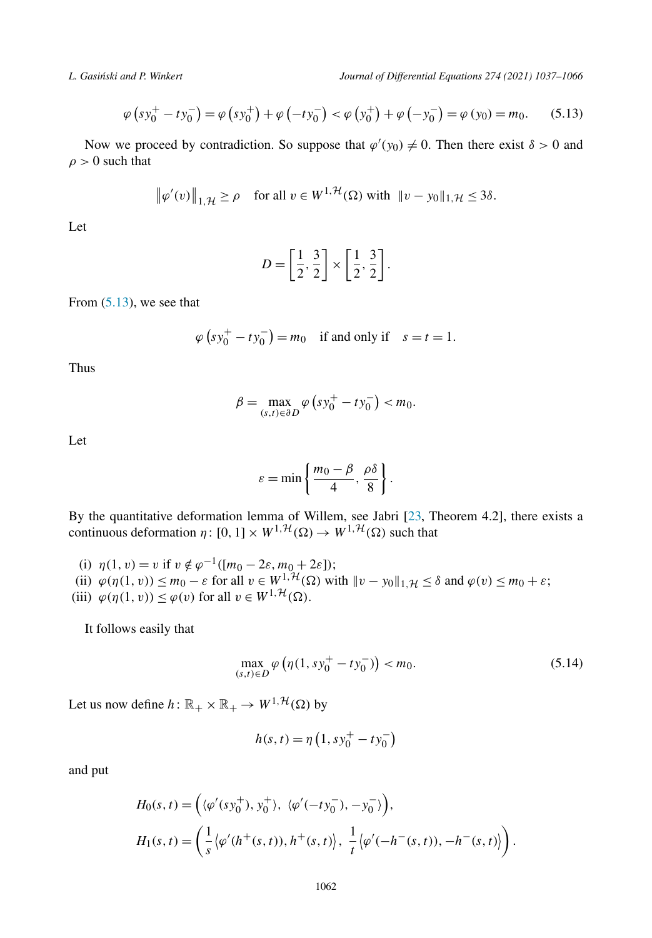<span id="page-25-0"></span>*L. Gasi´nski and P. Winkert Journal of Differential Equations 274 (2021) 1037–1066*

$$
\varphi \left( s y_0^+ - t y_0^- \right) = \varphi \left( s y_0^+ \right) + \varphi \left( - t y_0^- \right) < \varphi \left( y_0^+ \right) + \varphi \left( - y_0^- \right) = \varphi \left( y_0 \right) = m_0. \tag{5.13}
$$

Now we proceed by contradiction. So suppose that  $\varphi'(y_0) \neq 0$ . Then there exist  $\delta > 0$  and  $\rho > 0$  such that

$$
\|\varphi'(v)\|_{1,\mathcal{H}} \ge \rho \quad \text{for all } v \in W^{1,\mathcal{H}}(\Omega) \text{ with } \|v - y_0\|_{1,\mathcal{H}} \le 3\delta.
$$

Let

$$
D = \left[\frac{1}{2}, \frac{3}{2}\right] \times \left[\frac{1}{2}, \frac{3}{2}\right]
$$

*.*

From  $(5.13)$ , we see that

$$
\varphi (s y_0^+ - t y_0^-) = m_0
$$
 if and only if  $s = t = 1$ .

Thus

$$
\beta = \max_{(s,t)\in \partial D} \varphi \left( s y_0^+ - t y_0^- \right) < m_0.
$$

Let

$$
\varepsilon = \min\left\{\frac{m_0 - \beta}{4}, \frac{\rho \delta}{8}\right\}.
$$

By the quantitative deformation lemma of Willem, see Jabri [[23,](#page-28-0) Theorem 4.2], there exists a continuous deformation  $\eta: [0, 1] \times W^{1, \mathcal{H}}(\Omega) \to W^{1, \mathcal{H}}(\Omega)$  such that

(i)  $\eta(1, v) = v$  if  $v \notin \varphi^{-1}([m_0 - 2\varepsilon, m_0 + 2\varepsilon])$ ; (ii)  $\varphi(\eta(1, v)) \leq m_0 - \varepsilon$  for all  $v \in W^{1, \mathcal{H}}(\Omega)$  with  $\|v - y_0\|_{1, \mathcal{H}} \leq \delta$  and  $\varphi(v) \leq m_0 + \varepsilon$ ; (iii)  $\varphi(\eta(1, v)) \leq \varphi(v)$  for all  $v \in W^{1, \mathcal{H}}(\Omega)$ .

It follows easily that

$$
\max_{(s,t)\in D} \varphi \left( \eta(1, s y_0^+ - t y_0^-) \right) < m_0. \tag{5.14}
$$

Let us now define  $h: \mathbb{R}_+ \times \mathbb{R}_+ \to W^{1, \mathcal{H}}(\Omega)$  by

$$
h(s, t) = \eta \left( 1, s y_0^+ - t y_0^- \right)
$$

and put

$$
H_0(s, t) = \left( \langle \varphi'(s y_0^+), y_0^+ \rangle, \langle \varphi'(-t y_0^-), -y_0^- \rangle \right),
$$
  
\n
$$
H_1(s, t) = \left( \frac{1}{s} \langle \varphi'(h^+(s, t)), h^+(s, t) \rangle, \frac{1}{t} \langle \varphi'(-h^-(s, t)), -h^-(s, t) \rangle \right).
$$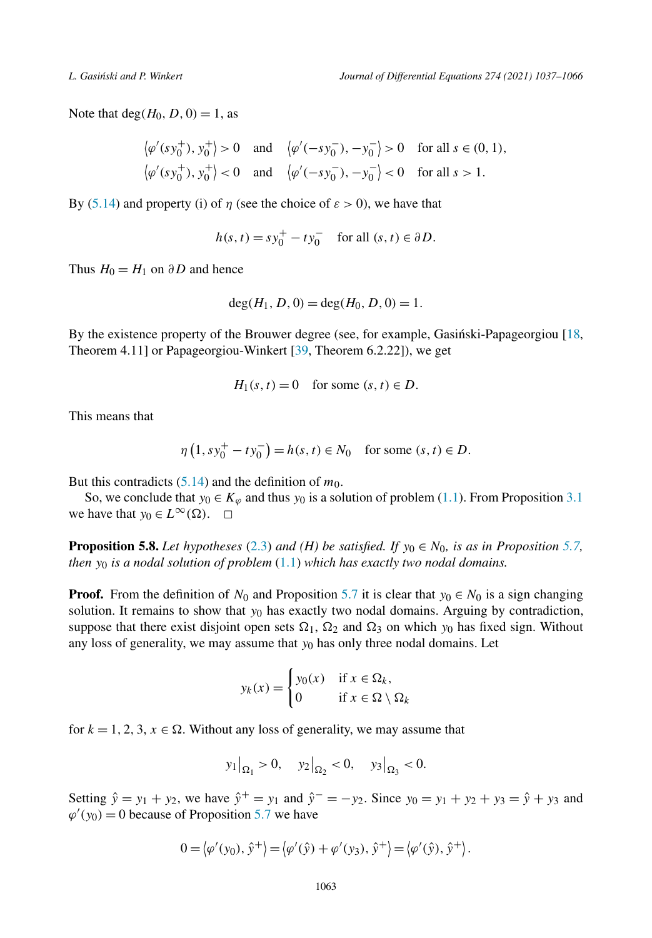<span id="page-26-0"></span>Note that deg $(H_0, D, 0) = 1$ , as

$$
\langle \varphi'(s y_0^+), y_0^+ \rangle > 0
$$
 and  $\langle \varphi'(-s y_0^-), -y_0^- \rangle > 0$  for all  $s \in (0, 1)$ ,  
 $\langle \varphi'(s y_0^+), y_0^+ \rangle < 0$  and  $\langle \varphi'(-s y_0^-), -y_0^- \rangle < 0$  for all  $s > 1$ .

By [\(5.14](#page-25-0)) and property (i) of  $\eta$  (see the choice of  $\varepsilon > 0$ ), we have that

$$
h(s, t) = s y_0^+ - t y_0^- \quad \text{for all } (s, t) \in \partial D.
$$

Thus  $H_0 = H_1$  on  $\partial D$  and hence

$$
\deg(H_1, D, 0) = \deg(H_0, D, 0) = 1.
$$

By the existence property of the Brouwer degree (see, for example, Gasinski-Papageorgiou [[18,](#page-28-0) Theorem 4.11] or Papageorgiou-Winkert [[39,](#page-29-0) Theorem 6.2.22]), we get

$$
H_1(s, t) = 0 \quad \text{for some } (s, t) \in D.
$$

This means that

$$
\eta\left(1, sy_0^+ - ty_0^-\right) = h(s, t) \in N_0 \quad \text{for some } (s, t) \in D.
$$

But this contradicts  $(5.14)$  $(5.14)$  $(5.14)$  and the definition of  $m_0$ .

So, we conclude that  $y_0 \in K_\varphi$  and thus  $y_0$  is a solution of problem [\(1.1\)](#page-1-0). From Proposition [3.1](#page-8-0) we have that  $y_0 \in L^{\infty}(\Omega)$ .  $\Box$ 

**Proposition 5.8.** *Let hypotheses* ([2.3](#page-3-0)) *and (H) be satisfied. If*  $y_0 \in N_0$ *, is as in Proposition* [5.7,](#page-24-0) *then y*<sup>0</sup> *is a nodal solution of problem* [\(1.1\)](#page-1-0) *which has exactly two nodal domains.*

**Proof.** From the definition of  $N_0$  and Proposition [5.7](#page-24-0) it is clear that  $y_0 \in N_0$  is a sign changing solution. It remains to show that *y*<sup>0</sup> has exactly two nodal domains. Arguing by contradiction, suppose that there exist disjoint open sets  $\Omega_1$ ,  $\Omega_2$  and  $\Omega_3$  on which  $y_0$  has fixed sign. Without any loss of generality, we may assume that *y*<sup>0</sup> has only three nodal domains. Let

$$
y_k(x) = \begin{cases} y_0(x) & \text{if } x \in \Omega_k, \\ 0 & \text{if } x \in \Omega \setminus \Omega_k \end{cases}
$$

for  $k = 1, 2, 3, x \in \Omega$ . Without any loss of generality, we may assume that

$$
y_1|_{\Omega_1} > 0
$$
,  $y_2|_{\Omega_2} < 0$ ,  $y_3|_{\Omega_3} < 0$ .

Setting  $\hat{y} = y_1 + y_2$ , we have  $\hat{y}^+ = y_1$  and  $\hat{y}^- = -y_2$ . Since  $y_0 = y_1 + y_2 + y_3 = \hat{y} + y_3$  and  $\varphi'(y_0) = 0$  because of Proposition [5.7](#page-24-0) we have

$$
0 = \langle \varphi'(y_0), \hat{y}^+ \rangle = \langle \varphi'(\hat{y}) + \varphi'(y_3), \hat{y}^+ \rangle = \langle \varphi'(\hat{y}), \hat{y}^+ \rangle.
$$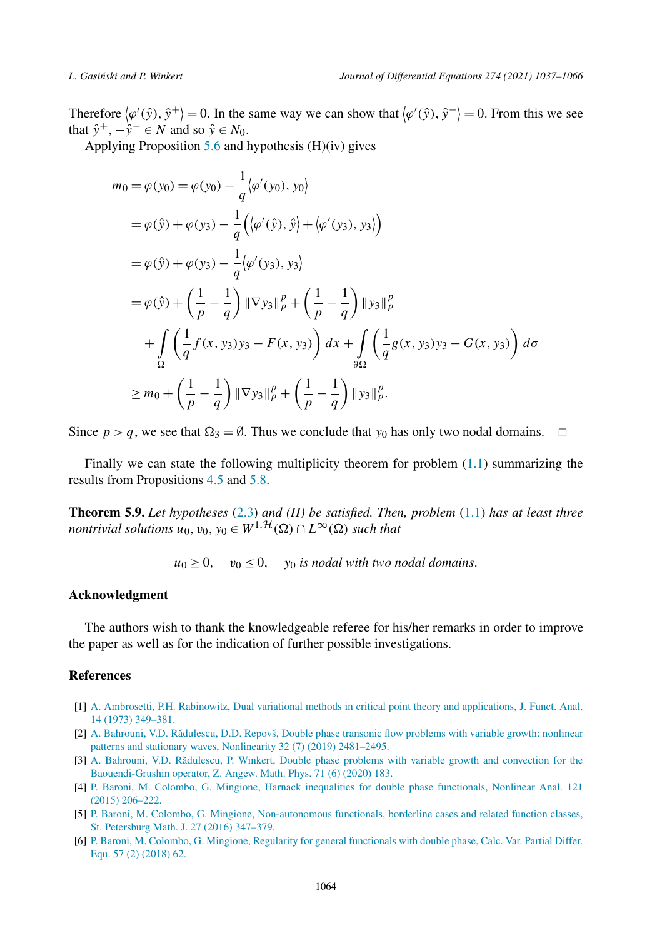<span id="page-27-0"></span>Therefore  $\langle \varphi'(\hat{y}), \hat{y}^+ \rangle = 0$ . In the same way we can show that  $\langle \varphi'(\hat{y}), \hat{y}^- \rangle = 0$ . From this we see that  $\hat{y}^+$ ,  $-\hat{y}^- \in N$  and so  $\hat{y} \in N_0$ .

Applying Proposition  $5.6$  and hypothesis  $(H)(iv)$  gives

$$
m_0 = \varphi(y_0) = \varphi(y_0) - \frac{1}{q} \langle \varphi'(y_0), y_0 \rangle
$$
  
\n
$$
= \varphi(\hat{y}) + \varphi(y_3) - \frac{1}{q} \Big( \langle \varphi'(\hat{y}), \hat{y} \rangle + \langle \varphi'(y_3), y_3 \rangle \Big)
$$
  
\n
$$
= \varphi(\hat{y}) + \varphi(y_3) - \frac{1}{q} \langle \varphi'(y_3), y_3 \rangle
$$
  
\n
$$
= \varphi(\hat{y}) + \left( \frac{1}{p} - \frac{1}{q} \right) \|\nabla y_3\|_p^p + \left( \frac{1}{p} - \frac{1}{q} \right) \|\nabla y_3\|_p^p
$$
  
\n
$$
+ \int_{\Omega} \left( \frac{1}{q} f(x, y_3) y_3 - F(x, y_3) \right) dx + \int_{\partial \Omega} \left( \frac{1}{q} g(x, y_3) y_3 - G(x, y_3) \right) d\sigma
$$
  
\n
$$
\geq m_0 + \left( \frac{1}{p} - \frac{1}{q} \right) \|\nabla y_3\|_p^p + \left( \frac{1}{p} - \frac{1}{q} \right) \|\nabla y_3\|_p^p.
$$

Since  $p > q$ , we see that  $\Omega_3 = \emptyset$ . Thus we conclude that  $y_0$  has only two nodal domains.  $\Box$ 

Finally we can state the following multiplicity theorem for problem  $(1.1)$  $(1.1)$  $(1.1)$  summarizing the results from Propositions [4.5](#page-18-0) and [5.8.](#page-26-0)

**Theorem 5.9.** *Let hypotheses* ([2.3](#page-3-0)) *and (H) be satisfied. Then, problem* ([1.1](#page-1-0)) *has at least three nontrivial solutions*  $u_0, v_0, y_0 \in W^{1, \mathcal{H}}(\Omega) \cap L^{\infty}(\Omega)$  *such that* 

 $u_0 > 0$ ,  $v_0 < 0$ ,  $v_0$  *is nodal with two nodal domains.* 

### **Acknowledgment**

The authors wish to thank the knowledgeable referee for his/her remarks in order to improve the paper as well as for the indication of further possible investigations.

# **References**

- [1] A. Ambrosetti, P.H. Rabinowitz, Dual variational methods in critical point theory and [applications,](http://refhub.elsevier.com/S0022-0396(20)30596-9/bib870191973FE480B910BE7CD74A9C86C3s1) J. Funct. Anal. 14 (1973) [349–381.](http://refhub.elsevier.com/S0022-0396(20)30596-9/bib870191973FE480B910BE7CD74A9C86C3s1)
- [2] A. Bahrouni, V.D. Rădulescu, D.D. Repovš, Double phase transonic flow problems with variable growth: nonlinear patterns and stationary waves, [Nonlinearity](http://refhub.elsevier.com/S0022-0396(20)30596-9/bibA1F73E2C700372029EBE1731D09913CEs1) 32 (7) (2019) 2481–2495.
- [3] A. Bahrouni, V.D. Rădulescu, P. Winkert, Double phase problems with variable growth and convection for the [Baouendi-Grushin](http://refhub.elsevier.com/S0022-0396(20)30596-9/bibB3E0E08202B7AF93B14F94EEFB88D0CAs1) operator, Z. Angew. Math. Phys. 71 (6) (2020) 183.
- [4] P. Baroni, M. Colombo, G. Mingione, Harnack inequalities for double phase [functionals,](http://refhub.elsevier.com/S0022-0396(20)30596-9/bib8B1C3E8D71D67FEBEFF684812E2710F3s1) Nonlinear Anal. 121 (2015) [206–222.](http://refhub.elsevier.com/S0022-0396(20)30596-9/bib8B1C3E8D71D67FEBEFF684812E2710F3s1)
- [5] P. Baroni, M. Colombo, G. Mingione, [Non-autonomous](http://refhub.elsevier.com/S0022-0396(20)30596-9/bib0C9DE131465BAB784B8F886F23E7CBF4s1) functionals, borderline cases and related function classes, St. [Petersburg](http://refhub.elsevier.com/S0022-0396(20)30596-9/bib0C9DE131465BAB784B8F886F23E7CBF4s1) Math. J. 27 (2016) 347–379.
- [6] P. Baroni, M. Colombo, G. Mingione, Regularity for general [functionals](http://refhub.elsevier.com/S0022-0396(20)30596-9/bibB24C49D8440ED993BC2B4769467DD68Es1) with double phase, Calc. Var. Partial Differ. Equ. 57 (2) [\(2018\)](http://refhub.elsevier.com/S0022-0396(20)30596-9/bibB24C49D8440ED993BC2B4769467DD68Es1) 62.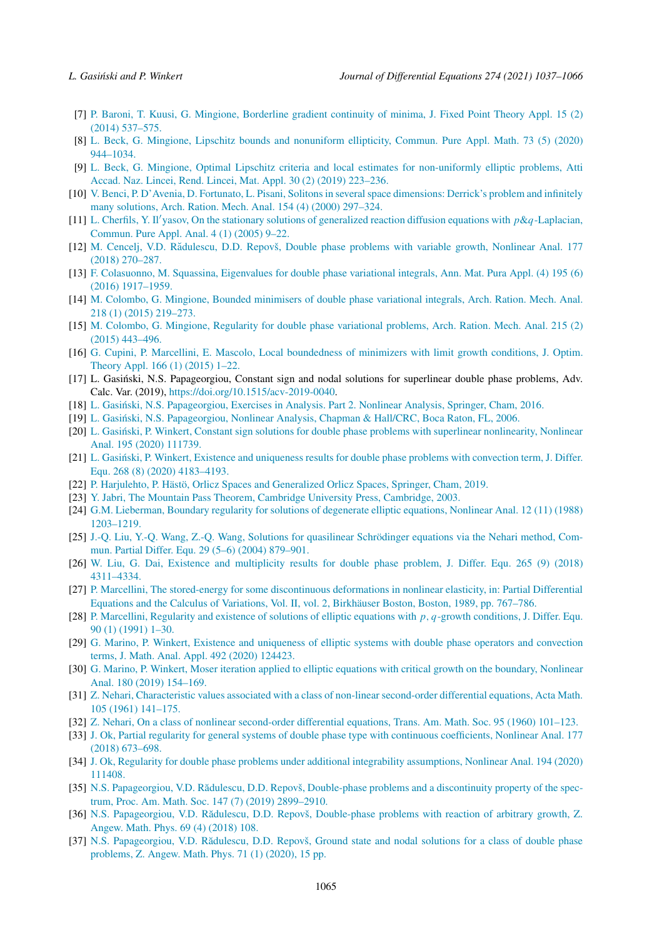- <span id="page-28-0"></span>[7] P. Baroni, T. Kuusi, G. Mingione, [Borderline](http://refhub.elsevier.com/S0022-0396(20)30596-9/bibCA002E22C4E3A517851DF18043E629C4s1) gradient continuity of minima, J. Fixed Point Theory Appl. 15 (2) (2014) [537–575.](http://refhub.elsevier.com/S0022-0396(20)30596-9/bibCA002E22C4E3A517851DF18043E629C4s1)
- [8] L. Beck, G. Mingione, Lipschitz bounds and [nonuniform](http://refhub.elsevier.com/S0022-0396(20)30596-9/bib5F5598AD688ED06C7D202C2CE971E294s1) ellipticity, Commun. Pure Appl. Math. 73 (5) (2020) [944–1034.](http://refhub.elsevier.com/S0022-0396(20)30596-9/bib5F5598AD688ED06C7D202C2CE971E294s1)
- [9] L. Beck, G. Mingione, Optimal Lipschitz criteria and local estimates for [non-uniformly](http://refhub.elsevier.com/S0022-0396(20)30596-9/bib4D6979E7D95736365307DB2C9B06B741s1) elliptic problems, Atti Accad. Naz. Lincei, Rend. Lincei, Mat. Appl. 30 (2) (2019) [223–236.](http://refhub.elsevier.com/S0022-0396(20)30596-9/bib4D6979E7D95736365307DB2C9B06B741s1)
- [10] V. Benci, P. D'Avenia, D. Fortunato, L. Pisani, Solitons in several space dimensions: Derrick's problem and infinitely many [solutions,](http://refhub.elsevier.com/S0022-0396(20)30596-9/bib38BA33741B03DD05D1BE044D933C0E5Es1) Arch. Ration. Mech. Anal. 154 (4) (2000) 297–324.
- [11] L. Cherfils, Y. Il'yasov, On the stationary solutions of [generalized](http://refhub.elsevier.com/S0022-0396(20)30596-9/bib5251F6AE4F3A597FB5DFB2260BE1E25As1) reaction diffusion equations with  $p \&q$ -Laplacian, [Commun.](http://refhub.elsevier.com/S0022-0396(20)30596-9/bib5251F6AE4F3A597FB5DFB2260BE1E25As1) Pure Appl. Anal. 4 (1) (2005) 9–22.
- [12] M. Cencelj, V.D. Rădulescu, D.D. Repovš, Double phase problems with variable growth, Nonlinear Anal. 177 (2018) [270–287.](http://refhub.elsevier.com/S0022-0396(20)30596-9/bibB7BF7C74EFFE518094BC77B373823076s1)
- [13] F. [Colasuonno,](http://refhub.elsevier.com/S0022-0396(20)30596-9/bib39ADCCE93F1637A6293526A0A3FE859As1) M. Squassina, Eigenvalues for double phase variational integrals, Ann. Mat. Pura Appl. (4) 195 (6) (2016) [1917–1959.](http://refhub.elsevier.com/S0022-0396(20)30596-9/bib39ADCCE93F1637A6293526A0A3FE859As1)
- [14] M. Colombo, G. Mingione, Bounded [minimisers](http://refhub.elsevier.com/S0022-0396(20)30596-9/bibF5AB333105B1BECCF369EE202DB65297s1) of double phase variational integrals, Arch. Ration. Mech. Anal. 218 (1) (2015) [219–273.](http://refhub.elsevier.com/S0022-0396(20)30596-9/bibF5AB333105B1BECCF369EE202DB65297s1)
- [15] M. Colombo, G. Mingione, Regularity for double phase [variational](http://refhub.elsevier.com/S0022-0396(20)30596-9/bibF3818D8141B6F543EE00D360DD1CFC58s1) problems, Arch. Ration. Mech. Anal. 215 (2) (2015) [443–496.](http://refhub.elsevier.com/S0022-0396(20)30596-9/bibF3818D8141B6F543EE00D360DD1CFC58s1)
- [16] G. Cupini, P. Marcellini, E. Mascolo, Local [boundedness](http://refhub.elsevier.com/S0022-0396(20)30596-9/bibC86390C1B6654AD593F662DB0F9329CFs1) of minimizers with limit growth conditions, J. Optim. Theory Appl. [166 \(1\)](http://refhub.elsevier.com/S0022-0396(20)30596-9/bibC86390C1B6654AD593F662DB0F9329CFs1) (2015) 1–22.
- [17] L. Gasiński, N.S. Papageorgiou, Constant sign and nodal solutions for superlinear double phase problems, Adv. Calc. Var. (2019), [https://doi.org/10.1515/acv-2019-0040.](https://doi.org/10.1515/acv-2019-0040)
- [18] L. Gasiński, N.S. [Papageorgiou,](http://refhub.elsevier.com/S0022-0396(20)30596-9/bib50EF6F8C8419AEFABF8A794FCBD74A8Bs1) Exercises in Analysis. Part 2. Nonlinear Analysis, Springer, Cham, 2016.
- [19] L. Gasiński, N.S. [Papageorgiou,](http://refhub.elsevier.com/S0022-0396(20)30596-9/bib7190275D515937B0E5B49E7C6C11E906s1) Nonlinear Analysis, Chapman & Hall/CRC, Boca Raton, FL, 2006.
- [20] L. Gasiński, P. Winkert, Constant sign solutions for double phase problems with superlinear [nonlinearity,](http://refhub.elsevier.com/S0022-0396(20)30596-9/bib754C982463FADCD2E58BDE6D76C2F6F4s1) Nonlinear Anal. 195 (2020) [111739.](http://refhub.elsevier.com/S0022-0396(20)30596-9/bib754C982463FADCD2E58BDE6D76C2F6F4s1)
- [21] L. Gasiński, P. Winkert, Existence and [uniqueness](http://refhub.elsevier.com/S0022-0396(20)30596-9/bibE049B05C7F917C86F6B0170FFB127F39s1) results for double phase problems with convection term, J. Differ. Equ. 268 (8) (2020) [4183–4193.](http://refhub.elsevier.com/S0022-0396(20)30596-9/bibE049B05C7F917C86F6B0170FFB127F39s1)
- [22] P. Harjulehto, P. Hästö, Orlicz Spaces and [Generalized](http://refhub.elsevier.com/S0022-0396(20)30596-9/bibA02BC58A3CD97A52285914AE4BAC67FFs1) Orlicz Spaces, Springer, Cham, 2019.
- [23] Y. Jabri, The Mountain Pass Theorem, Cambridge University Press, [Cambridge,](http://refhub.elsevier.com/S0022-0396(20)30596-9/bib006FBA8361508EA6BA09244BB7BF2A8Bs1) 2003.
- [24] G.M. [Lieberman,](http://refhub.elsevier.com/S0022-0396(20)30596-9/bib1E6E6889044D753D0DA6E1F5DC16C6C8s1) Boundary regularity for solutions of degenerate elliptic equations, Nonlinear Anal. 12 (11) (1988) [1203–1219.](http://refhub.elsevier.com/S0022-0396(20)30596-9/bib1E6E6889044D753D0DA6E1F5DC16C6C8s1)
- [25] J.-Q. Liu, Y.-Q. Wang, Z.-Q. Wang, Solutions for quasilinear [Schrödinger](http://refhub.elsevier.com/S0022-0396(20)30596-9/bibBBF7951C66AF010A3FC0681387C4A49Bs1) equations via the Nehari method, Commun. Partial Differ. Equ. 29 (5–6) (2004) [879–901.](http://refhub.elsevier.com/S0022-0396(20)30596-9/bibBBF7951C66AF010A3FC0681387C4A49Bs1)
- [26] W. Liu, G. Dai, Existence and [multiplicity](http://refhub.elsevier.com/S0022-0396(20)30596-9/bibB61C2838707CF19588F49A350475076Fs1) results for double phase problem, J. Differ. Equ. 265 (9) (2018) [4311–4334.](http://refhub.elsevier.com/S0022-0396(20)30596-9/bibB61C2838707CF19588F49A350475076Fs1)
- [27] P. Marcellini, The stored-energy for some [discontinuous](http://refhub.elsevier.com/S0022-0396(20)30596-9/bib912FD82551D03192EB51FE85A37B7D76s1) deformations in nonlinear elasticity, in: Partial Differential Equations and the Calculus of Variations, Vol. II, vol. 2, Birkhäuser Boston, Boston, 1989, [pp. 767–786.](http://refhub.elsevier.com/S0022-0396(20)30596-9/bib912FD82551D03192EB51FE85A37B7D76s1)
- [28] P. [Marcellini,](http://refhub.elsevier.com/S0022-0396(20)30596-9/bib620DCCFBC15E31D4ABEC002E9BA9B683s1) Regularity and existence of solutions of elliptic equations with *p, q*-growth conditions, J. Differ. Equ. 90 (1) [\(1991\)](http://refhub.elsevier.com/S0022-0396(20)30596-9/bib620DCCFBC15E31D4ABEC002E9BA9B683s1) 1–30.
- [29] G. Marino, P. Winkert, Existence and [uniqueness](http://refhub.elsevier.com/S0022-0396(20)30596-9/bib7A2B2C8046EBDCB22855DB28D2BD573Es1) of elliptic systems with double phase operators and convection terms, J. Math. Anal. Appl. 492 (2020) [124423.](http://refhub.elsevier.com/S0022-0396(20)30596-9/bib7A2B2C8046EBDCB22855DB28D2BD573Es1)
- [30] G. Marino, P. Winkert, Moser iteration applied to elliptic equations with critical growth on the [boundary,](http://refhub.elsevier.com/S0022-0396(20)30596-9/bibFD5E7A2E173B04DC2ACA4B6690FCF86Fs1) Nonlinear Anal. 180 (2019) [154–169.](http://refhub.elsevier.com/S0022-0396(20)30596-9/bibFD5E7A2E173B04DC2ACA4B6690FCF86Fs1)
- [31] Z. Nehari, [Characteristic](http://refhub.elsevier.com/S0022-0396(20)30596-9/bib3FDF2D4BDF84CE3548B704F66DB1340Fs1) values associated with a class of non-linear second-order differential equations, Acta Math. 105 (1961) [141–175.](http://refhub.elsevier.com/S0022-0396(20)30596-9/bib3FDF2D4BDF84CE3548B704F66DB1340Fs1)
- [32] Z. Nehari, On a class of nonlinear [second-order](http://refhub.elsevier.com/S0022-0396(20)30596-9/bib78002CFE91AB3B130B8C91E3EAD12EA2s1) differential equations, Trans. Am. Math. Soc. 95 (1960) 101–123.
- [33] J. Ok, Partial regularity for general systems of double phase type with continuous [coefficients,](http://refhub.elsevier.com/S0022-0396(20)30596-9/bibA4D654C14F37DE4E75D656E9A4FC101Cs1) Nonlinear Anal. 177 (2018) [673–698.](http://refhub.elsevier.com/S0022-0396(20)30596-9/bibA4D654C14F37DE4E75D656E9A4FC101Cs1)
- [34] J. Ok, Regularity for double phase problems under additional integrability [assumptions,](http://refhub.elsevier.com/S0022-0396(20)30596-9/bib9C213F7CAE31A9ED793404423B01EF72s1) Nonlinear Anal. 194 (2020) [111408.](http://refhub.elsevier.com/S0022-0396(20)30596-9/bib9C213F7CAE31A9ED793404423B01EF72s1)
- [35] N.S. [Papageorgiou,](http://refhub.elsevier.com/S0022-0396(20)30596-9/bib2F05DD044A2BE95330B06F5A273D57F9s1) V.D. Rădulescu, D.D. Repovš, Double-phase problems and a discontinuity property of the spectrum, Proc. Am. Math. Soc. 147 (7) (2019) [2899–2910.](http://refhub.elsevier.com/S0022-0396(20)30596-9/bib2F05DD044A2BE95330B06F5A273D57F9s1)
- [36] N.S. [Papageorgiou,](http://refhub.elsevier.com/S0022-0396(20)30596-9/bib4B633C3F31B6B86B390992911D0506CCs1) V.D. Rădulescu, D.D. Repovš, Double-phase problems with reaction of arbitrary growth, Z. [Angew.](http://refhub.elsevier.com/S0022-0396(20)30596-9/bib4B633C3F31B6B86B390992911D0506CCs1) Math. Phys. 69 (4) (2018) 108.
- [37] N.S. [Papageorgiou,](http://refhub.elsevier.com/S0022-0396(20)30596-9/bib3C8321A28FA4538DC0362EADFFD9F35Ds1) V.D. Rădulescu, D.D. Repovš, Ground state and nodal solutions for a class of double phase [problems,](http://refhub.elsevier.com/S0022-0396(20)30596-9/bib3C8321A28FA4538DC0362EADFFD9F35Ds1) Z. Angew. Math. Phys. 71 (1) (2020), 15 pp.